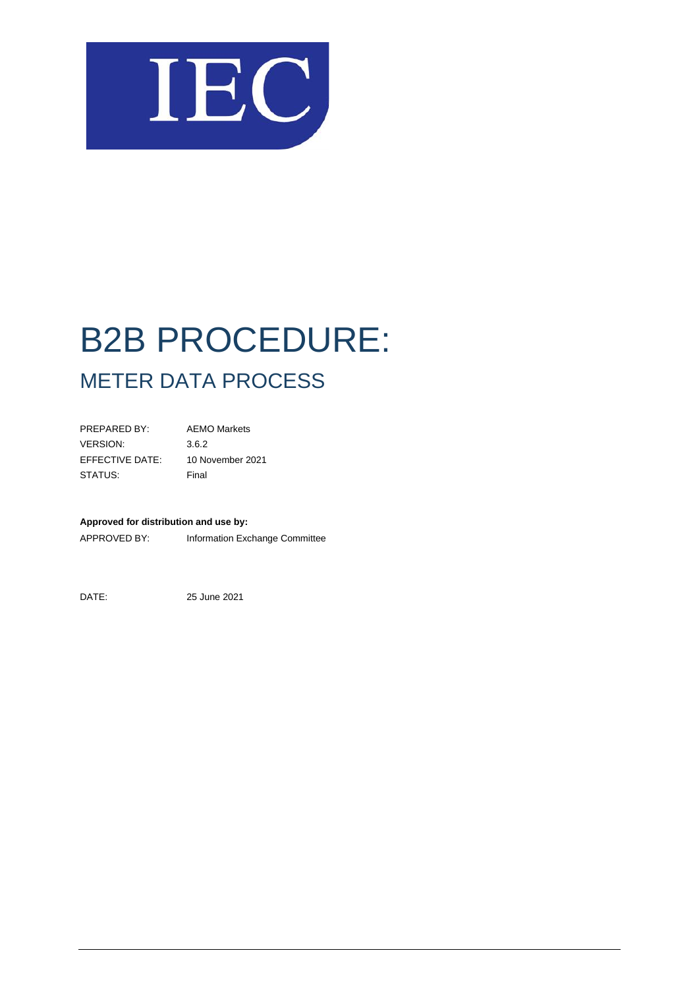

# B2B PROCEDURE: METER DATA PROCESS

| PRFPARFD BY:    | <b>AEMO Markets</b> |
|-----------------|---------------------|
| VERSION:        | 3.6.2               |
| EFFECTIVE DATE: | 10 November 2021    |
| STATUS:         | Final               |

#### **Approved for distribution and use by:**

APPROVED BY: Information Exchange Committee

DATE: 25 June 2021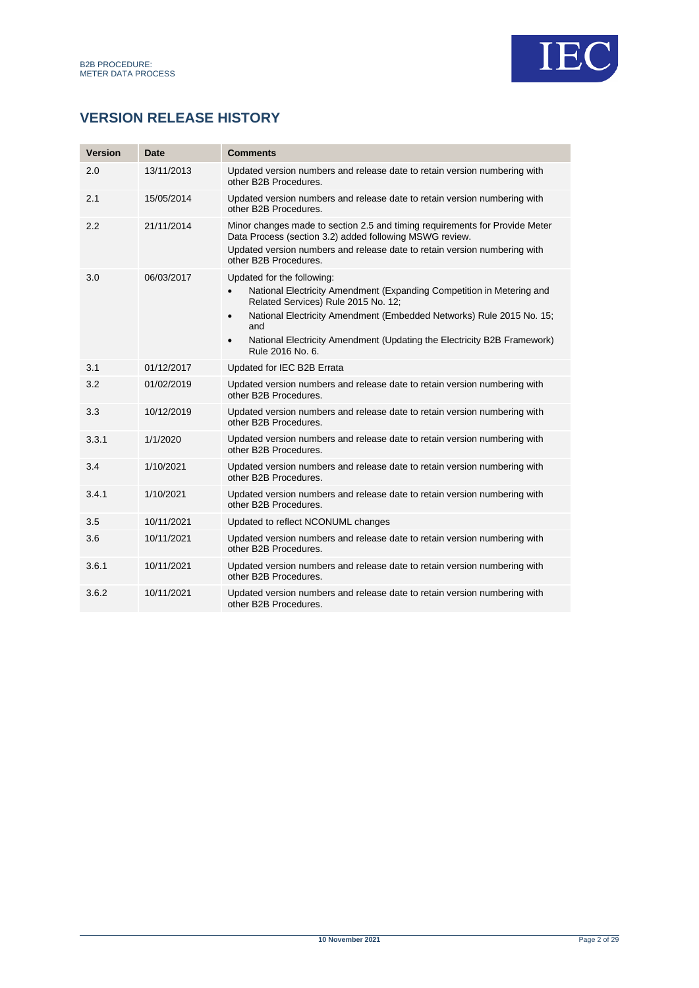

# **VERSION RELEASE HISTORY**

| <b>Version</b> | Date       | <b>Comments</b>                                                                                                                                                                                                                                                                                                                                    |
|----------------|------------|----------------------------------------------------------------------------------------------------------------------------------------------------------------------------------------------------------------------------------------------------------------------------------------------------------------------------------------------------|
| 2.0            | 13/11/2013 | Updated version numbers and release date to retain version numbering with<br>other B2B Procedures.                                                                                                                                                                                                                                                 |
| 2.1            | 15/05/2014 | Updated version numbers and release date to retain version numbering with<br>other B2B Procedures.                                                                                                                                                                                                                                                 |
| 2.2            | 21/11/2014 | Minor changes made to section 2.5 and timing requirements for Provide Meter<br>Data Process (section 3.2) added following MSWG review.<br>Updated version numbers and release date to retain version numbering with<br>other B2B Procedures.                                                                                                       |
| 3.0            | 06/03/2017 | Updated for the following:<br>National Electricity Amendment (Expanding Competition in Metering and<br>Related Services) Rule 2015 No. 12;<br>National Electricity Amendment (Embedded Networks) Rule 2015 No. 15;<br>$\bullet$<br>and<br>National Electricity Amendment (Updating the Electricity B2B Framework)<br>$\bullet$<br>Rule 2016 No. 6. |
| 3.1            | 01/12/2017 | Updated for IEC B2B Errata                                                                                                                                                                                                                                                                                                                         |
| 3.2            | 01/02/2019 | Updated version numbers and release date to retain version numbering with<br>other B2B Procedures.                                                                                                                                                                                                                                                 |
| 3.3            | 10/12/2019 | Updated version numbers and release date to retain version numbering with<br>other B2B Procedures.                                                                                                                                                                                                                                                 |
| 3.3.1          | 1/1/2020   | Updated version numbers and release date to retain version numbering with<br>other B2B Procedures.                                                                                                                                                                                                                                                 |
| 3.4            | 1/10/2021  | Updated version numbers and release date to retain version numbering with<br>other B2B Procedures.                                                                                                                                                                                                                                                 |
| 3.4.1          | 1/10/2021  | Updated version numbers and release date to retain version numbering with<br>other B2B Procedures.                                                                                                                                                                                                                                                 |
| 3.5            | 10/11/2021 | Updated to reflect NCONUML changes                                                                                                                                                                                                                                                                                                                 |
| 3.6            | 10/11/2021 | Updated version numbers and release date to retain version numbering with<br>other B2B Procedures.                                                                                                                                                                                                                                                 |
| 3.6.1          | 10/11/2021 | Updated version numbers and release date to retain version numbering with<br>other B2B Procedures.                                                                                                                                                                                                                                                 |
| 3.6.2          | 10/11/2021 | Updated version numbers and release date to retain version numbering with<br>other B2B Procedures.                                                                                                                                                                                                                                                 |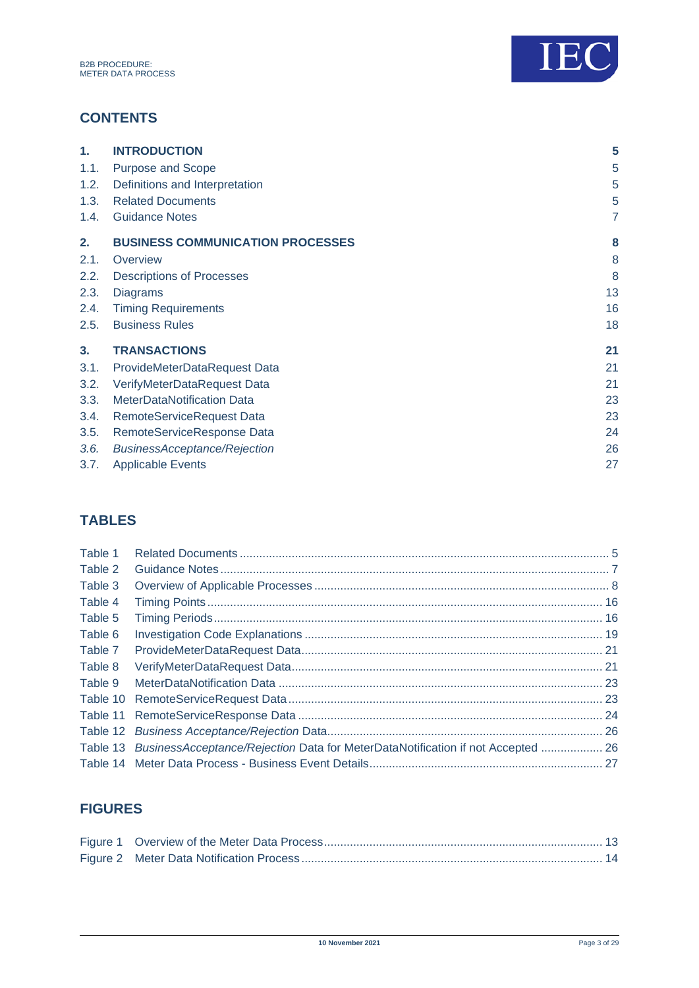

# **CONTENTS**

| 1.             | <b>INTRODUCTION</b>                     | 5  |
|----------------|-----------------------------------------|----|
| 1.1.           | <b>Purpose and Scope</b>                | 5  |
| 1.2.           | Definitions and Interpretation          | 5  |
| 1.3.           | <b>Related Documents</b>                | 5  |
| 1.4.           | <b>Guidance Notes</b>                   | 7  |
| 2.             | <b>BUSINESS COMMUNICATION PROCESSES</b> | 8  |
| 2.1.           | Overview                                | 8  |
| 2.2.           | <b>Descriptions of Processes</b>        | 8  |
| 2.3.           | <b>Diagrams</b>                         | 13 |
| 2.4.           | <b>Timing Requirements</b>              | 16 |
| 2.5.           | <b>Business Rules</b>                   | 18 |
| 3 <sub>1</sub> | <b>TRANSACTIONS</b>                     | 21 |
| 3.1.           | ProvideMeterDataRequest Data            | 21 |
| 3.2.           | VerifyMeterDataRequest Data             | 21 |
| 3.3.           | <b>MeterDataNotification Data</b>       | 23 |
| 3.4.           | RemoteServiceRequest Data               | 23 |
| 3.5.           | RemoteServiceResponse Data              | 24 |
| 3.6.           | <b>BusinessAcceptance/Rejection</b>     | 26 |
| 3.7.           | <b>Applicable Events</b>                | 27 |

# **TABLES**

| Table 1 |                                                                                          |  |
|---------|------------------------------------------------------------------------------------------|--|
| Table 2 |                                                                                          |  |
| Table 3 |                                                                                          |  |
| Table 4 |                                                                                          |  |
| Table 5 |                                                                                          |  |
| Table 6 |                                                                                          |  |
| Table 7 |                                                                                          |  |
| Table 8 |                                                                                          |  |
| Table 9 |                                                                                          |  |
|         |                                                                                          |  |
|         |                                                                                          |  |
|         |                                                                                          |  |
|         | Table 13 BusinessAcceptance/Rejection Data for MeterDataNotification if not Accepted  26 |  |
|         |                                                                                          |  |
|         |                                                                                          |  |

# **FIGURES**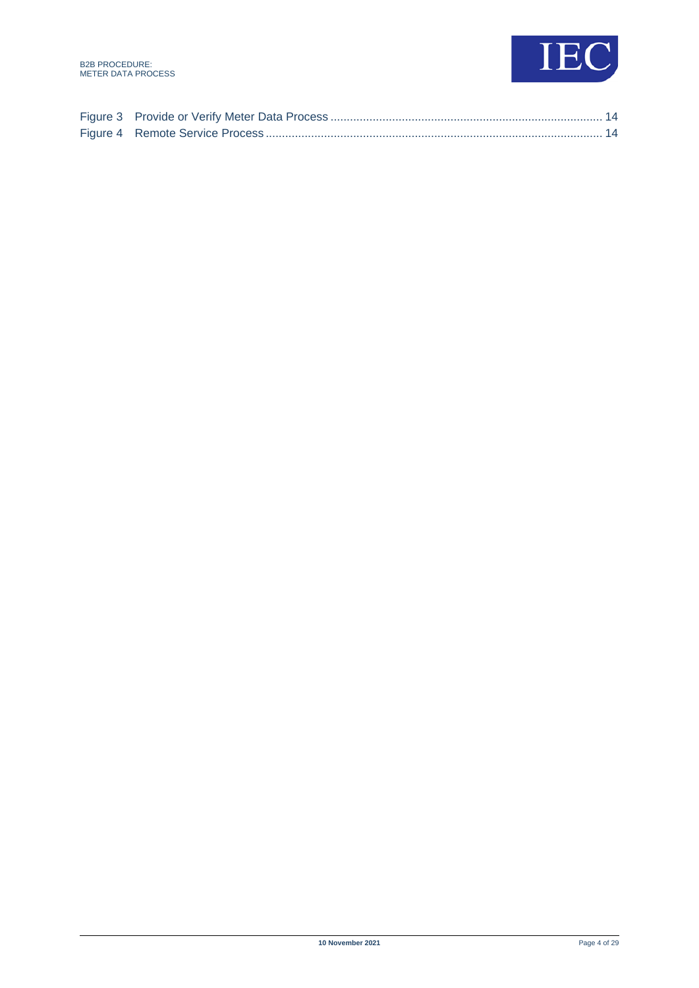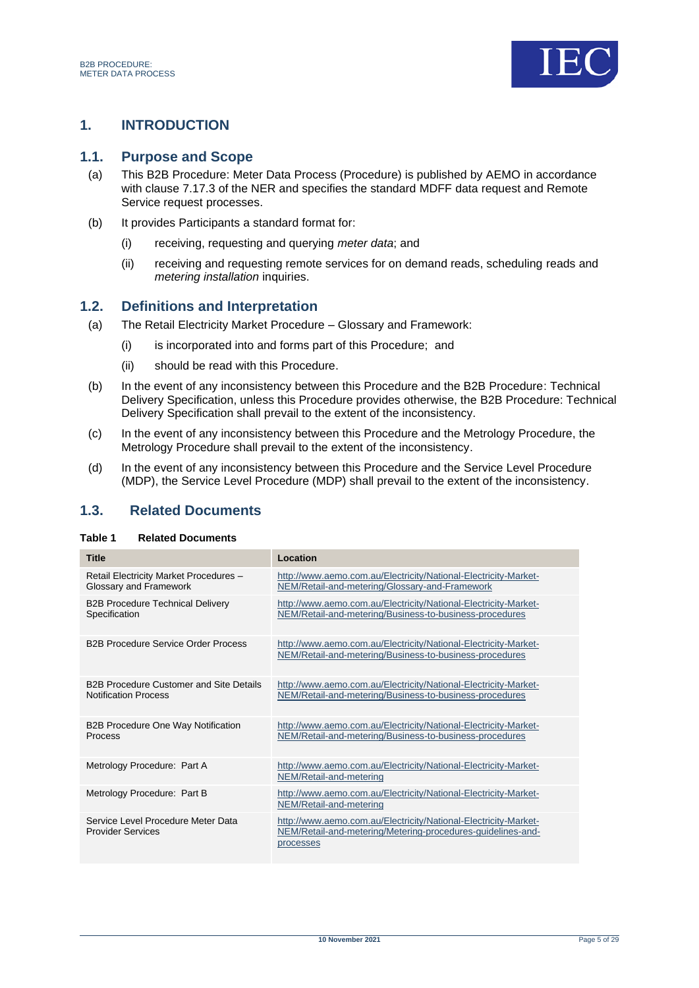

# <span id="page-4-0"></span>**1. INTRODUCTION**

## <span id="page-4-1"></span>**1.1. Purpose and Scope**

- (a) This B2B Procedure: Meter Data Process (Procedure) is published by AEMO in accordance with clause 7.17.3 of the NER and specifies the standard MDFF data request and Remote Service request processes.
- (b) It provides Participants a standard format for:
	- (i) receiving, requesting and querying *meter data*; and
	- (ii) receiving and requesting remote services for on demand reads, scheduling reads and *metering installation* inquiries.

## <span id="page-4-2"></span>**1.2. Definitions and Interpretation**

- (a) The Retail Electricity Market Procedure Glossary and Framework:
	- (i) is incorporated into and forms part of this Procedure; and
	- (ii) should be read with this Procedure.
- (b) In the event of any inconsistency between this Procedure and the B2B Procedure: Technical Delivery Specification, unless this Procedure provides otherwise, the B2B Procedure: Technical Delivery Specification shall prevail to the extent of the inconsistency.
- (c) In the event of any inconsistency between this Procedure and the Metrology Procedure, the Metrology Procedure shall prevail to the extent of the inconsistency.
- (d) In the event of any inconsistency between this Procedure and the Service Level Procedure (MDP), the Service Level Procedure (MDP) shall prevail to the extent of the inconsistency.

## <span id="page-4-3"></span>**1.3. Related Documents**

#### <span id="page-4-4"></span>**Table 1 Related Documents**

| <b>Title</b>                                                                  | Location                                                                                                                                    |
|-------------------------------------------------------------------------------|---------------------------------------------------------------------------------------------------------------------------------------------|
| Retail Electricity Market Procedures -<br>Glossary and Framework              | http://www.aemo.com.au/Electricity/National-Electricity-Market-<br>NEM/Retail-and-metering/Glossary-and-Framework                           |
| <b>B2B Procedure Technical Delivery</b><br>Specification                      | http://www.aemo.com.au/Electricity/National-Electricity-Market-<br>NEM/Retail-and-metering/Business-to-business-procedures                  |
| <b>B2B Procedure Service Order Process</b>                                    | http://www.aemo.com.au/Electricity/National-Electricity-Market-<br>NEM/Retail-and-metering/Business-to-business-procedures                  |
| <b>B2B Procedure Customer and Site Details</b><br><b>Notification Process</b> | http://www.aemo.com.au/Electricity/National-Electricity-Market-<br>NEM/Retail-and-metering/Business-to-business-procedures                  |
| <b>B2B Procedure One Way Notification</b><br><b>Process</b>                   | http://www.aemo.com.au/Electricity/National-Electricity-Market-<br>NEM/Retail-and-metering/Business-to-business-procedures                  |
| Metrology Procedure: Part A                                                   | http://www.aemo.com.au/Electricity/National-Electricity-Market-<br>NEM/Retail-and-metering                                                  |
| Metrology Procedure: Part B                                                   | http://www.aemo.com.au/Electricity/National-Electricity-Market-<br>NEM/Retail-and-metering                                                  |
| Service Level Procedure Meter Data<br><b>Provider Services</b>                | http://www.aemo.com.au/Electricity/National-Electricity-Market-<br>NEM/Retail-and-metering/Metering-procedures-guidelines-and-<br>processes |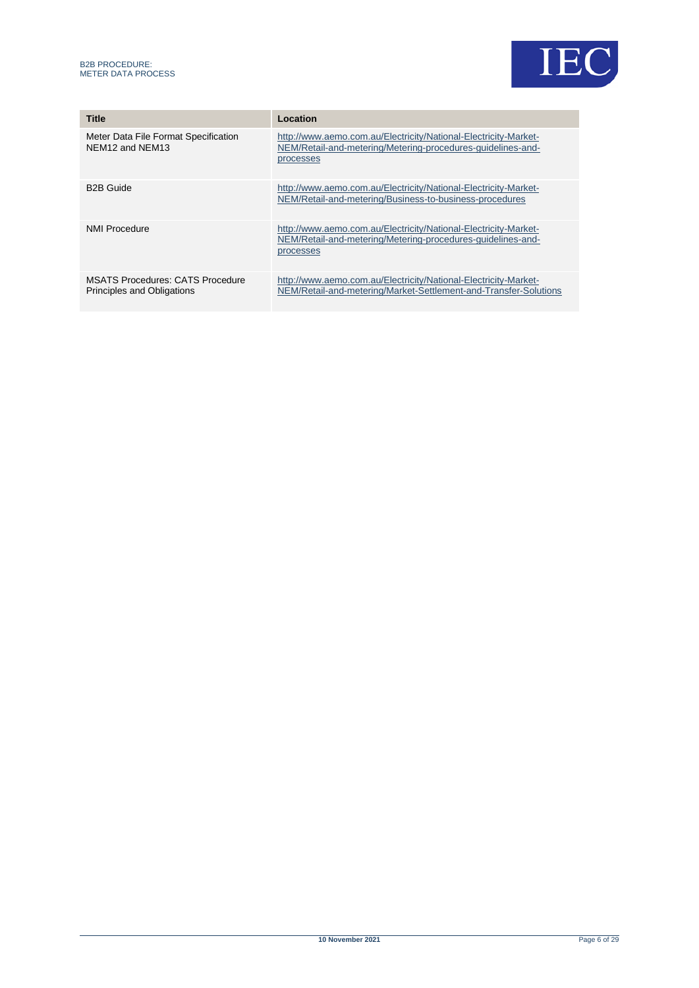



| <b>Title</b>                                                          | Location                                                                                                                                    |
|-----------------------------------------------------------------------|---------------------------------------------------------------------------------------------------------------------------------------------|
| Meter Data File Format Specification<br>NFM12 and NFM13               | http://www.aemo.com.au/Electricity/National-Electricity-Market-<br>NEM/Retail-and-metering/Metering-procedures-quidelines-and-<br>processes |
| <b>B2B Guide</b>                                                      | http://www.aemo.com.au/Electricity/National-Electricity-Market-<br>NEM/Retail-and-metering/Business-to-business-procedures                  |
| NMI Procedure                                                         | http://www.aemo.com.au/Electricity/National-Electricity-Market-<br>NEM/Retail-and-metering/Metering-procedures-quidelines-and-<br>processes |
| <b>MSATS Procedures: CATS Procedure</b><br>Principles and Obligations | http://www.aemo.com.au/Electricity/National-Electricity-Market-<br>NEM/Retail-and-metering/Market-Settlement-and-Transfer-Solutions         |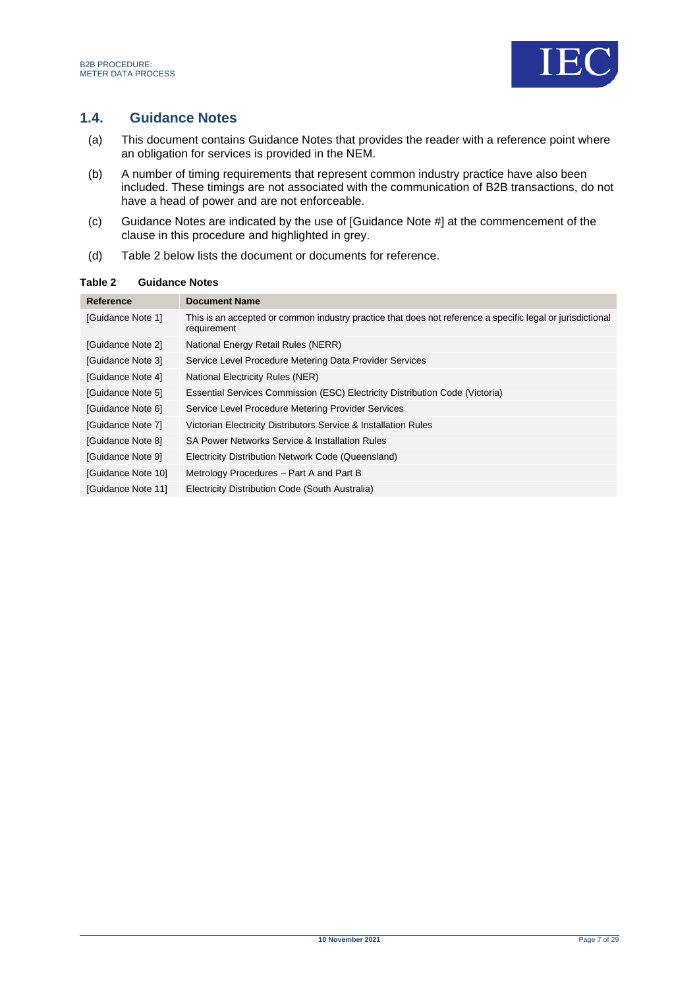

## <span id="page-6-0"></span>**1.4. Guidance Notes**

- (a) This document contains Guidance Notes that provides the reader with a reference point where an obligation for services is provided in the NEM.
- (b) A number of timing requirements that represent common industry practice have also been included. These timings are not associated with the communication of B2B transactions, do not have a head of power and are not enforceable.
- (c) Guidance Notes are indicated by the use of [Guidance Note #] at the commencement of the clause in this procedure and highlighted in grey.
- (d) Table 2 below lists the document or documents for reference.

#### <span id="page-6-1"></span>**Table 2 Guidance Notes**

| Reference          | <b>Document Name</b>                                                                                                      |
|--------------------|---------------------------------------------------------------------------------------------------------------------------|
| [Guidance Note 1]  | This is an accepted or common industry practice that does not reference a specific legal or jurisdictional<br>requirement |
| [Guidance Note 2]  | National Energy Retail Rules (NERR)                                                                                       |
| [Guidance Note 3]  | Service Level Procedure Metering Data Provider Services                                                                   |
| [Guidance Note 4]  | National Electricity Rules (NER)                                                                                          |
| [Guidance Note 5]  | Essential Services Commission (ESC) Electricity Distribution Code (Victoria)                                              |
| [Guidance Note 6]  | Service Level Procedure Metering Provider Services                                                                        |
| [Guidance Note 7]  | Victorian Electricity Distributors Service & Installation Rules                                                           |
| [Guidance Note 8]  | SA Power Networks Service & Installation Rules                                                                            |
| [Guidance Note 9]  | Electricity Distribution Network Code (Queensland)                                                                        |
| [Guidance Note 10] | Metrology Procedures - Part A and Part B                                                                                  |
| [Guidance Note 11] | Electricity Distribution Code (South Australia)                                                                           |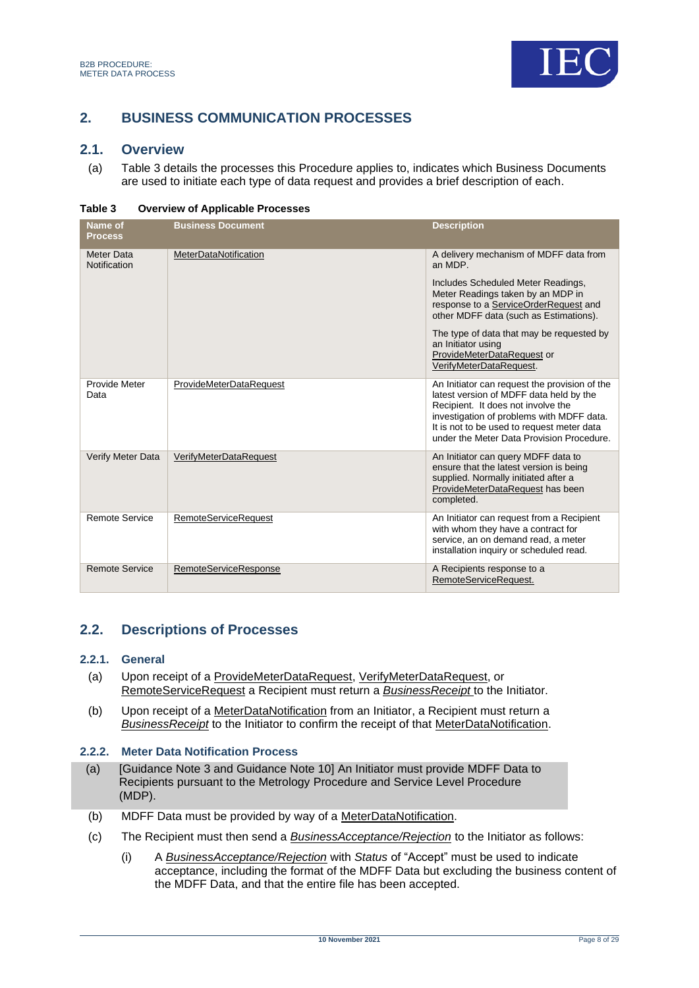

# <span id="page-7-0"></span>**2. BUSINESS COMMUNICATION PROCESSES**

## <span id="page-7-1"></span>**2.1. Overview**

(a) Table 3 details the processes this Procedure applies to, indicates which Business Documents are used to initiate each type of data request and provides a brief description of each.

| Name of<br><b>Process</b>  | <b>Business Document</b>       | <b>Description</b>                                                                                                                                                                                                                                                     |
|----------------------------|--------------------------------|------------------------------------------------------------------------------------------------------------------------------------------------------------------------------------------------------------------------------------------------------------------------|
| Meter Data<br>Notification | <b>MeterDataNotification</b>   | A delivery mechanism of MDFF data from<br>an MDP.                                                                                                                                                                                                                      |
|                            |                                | Includes Scheduled Meter Readings,<br>Meter Readings taken by an MDP in<br>response to a ServiceOrderRequest and<br>other MDFF data (such as Estimations).                                                                                                             |
|                            |                                | The type of data that may be requested by<br>an Initiator using<br>ProvideMeterDataRequest or<br>VerifyMeterDataRequest.                                                                                                                                               |
| Provide Meter<br>Data      | <b>ProvideMeterDataRequest</b> | An Initiator can request the provision of the<br>latest version of MDFF data held by the<br>Recipient. It does not involve the<br>investigation of problems with MDFF data.<br>It is not to be used to request meter data<br>under the Meter Data Provision Procedure. |
| <b>Verify Meter Data</b>   | <b>VerifyMeterDataRequest</b>  | An Initiator can query MDFF data to<br>ensure that the latest version is being<br>supplied. Normally initiated after a<br>ProvideMeterDataRequest has been<br>completed.                                                                                               |
| <b>Remote Service</b>      | <b>RemoteServiceRequest</b>    | An Initiator can request from a Recipient<br>with whom they have a contract for<br>service, an on demand read, a meter<br>installation inquiry or scheduled read.                                                                                                      |
| <b>Remote Service</b>      | <b>RemoteServiceResponse</b>   | A Recipients response to a<br>RemoteServiceRequest.                                                                                                                                                                                                                    |

#### <span id="page-7-3"></span>**Table 3 Overview of Applicable Processes**

## <span id="page-7-2"></span>**2.2. Descriptions of Processes**

#### **2.2.1. General**

- (a) Upon receipt of a ProvideMeterDataRequest, VerifyMeterDataRequest, or RemoteServiceRequest a Recipient must return a *BusinessReceipt* to the Initiator.
- (b) Upon receipt of a MeterDataNotification from an Initiator, a Recipient must return a *BusinessReceipt* to the Initiator to confirm the receipt of that MeterDataNotification.

#### **2.2.2. Meter Data Notification Process**

- (a) [Guidance Note 3 and Guidance Note 10] An Initiator must provide MDFF Data to Recipients pursuant to the Metrology Procedure and Service Level Procedure (MDP).
- (b) MDFF Data must be provided by way of a MeterDataNotification.
- (c) The Recipient must then send a *BusinessAcceptance/Rejection* to the Initiator as follows:
	- (i) A *BusinessAcceptance/Rejection* with *Status* of "Accept" must be used to indicate acceptance, including the format of the MDFF Data but excluding the business content of the MDFF Data, and that the entire file has been accepted.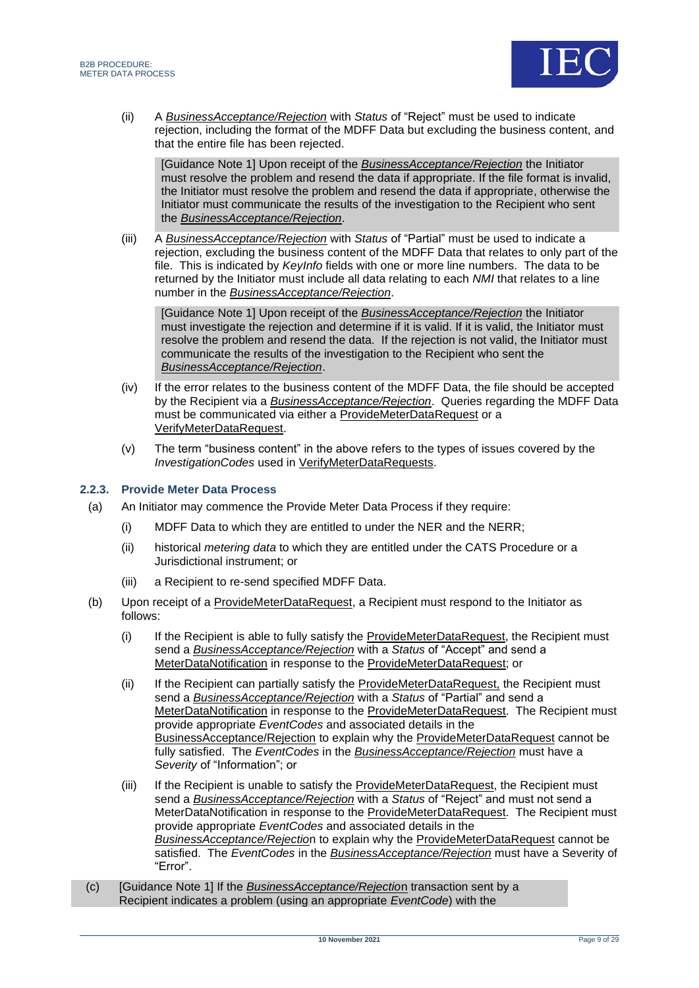

(ii) A *BusinessAcceptance/Rejection* with *Status* of "Reject" must be used to indicate rejection, including the format of the MDFF Data but excluding the business content, and that the entire file has been rejected.

[Guidance Note 1] Upon receipt of the *BusinessAcceptance/Rejection* the Initiator must resolve the problem and resend the data if appropriate. If the file format is invalid, the Initiator must resolve the problem and resend the data if appropriate, otherwise the Initiator must communicate the results of the investigation to the Recipient who sent the *BusinessAcceptance/Rejection*.

(iii) A *BusinessAcceptance/Rejection* with *Status* of "Partial" must be used to indicate a rejection, excluding the business content of the MDFF Data that relates to only part of the file. This is indicated by *KeyInfo* fields with one or more line numbers. The data to be returned by the Initiator must include all data relating to each *NMI* that relates to a line number in the *BusinessAcceptance/Rejection*.

[Guidance Note 1] Upon receipt of the *BusinessAcceptance/Rejection* the Initiator must investigate the rejection and determine if it is valid. If it is valid, the Initiator must resolve the problem and resend the data. If the rejection is not valid, the Initiator must communicate the results of the investigation to the Recipient who sent the *BusinessAcceptance/Rejection*.

- (iv) If the error relates to the business content of the MDFF Data, the file should be accepted by the Recipient via a *BusinessAcceptance/Rejection*. Queries regarding the MDFF Data must be communicated via either a ProvideMeterDataRequest or a VerifyMeterDataRequest.
- (v) The term "business content" in the above refers to the types of issues covered by the *InvestigationCodes* used in VerifyMeterDataRequests.

#### **2.2.3. Provide Meter Data Process**

- (a) An Initiator may commence the Provide Meter Data Process if they require:
	- (i) MDFF Data to which they are entitled to under the NER and the NERR;
	- (ii) historical *metering data* to which they are entitled under the CATS Procedure or a Jurisdictional instrument; or
	- (iii) a Recipient to re-send specified MDFF Data.
- (b) Upon receipt of a ProvideMeterDataRequest, a Recipient must respond to the Initiator as follows:
	- (i) If the Recipient is able to fully satisfy the ProvideMeterDataRequest, the Recipient must send a *BusinessAcceptance/Rejection* with a *Status* of "Accept" and send a MeterDataNotification in response to the ProvideMeterDataRequest; or
	- (ii) If the Recipient can partially satisfy the ProvideMeterDataRequest, the Recipient must send a *BusinessAcceptance/Rejection* with a *Status* of "Partial" and send a MeterDataNotification in response to the ProvideMeterDataRequest. The Recipient must provide appropriate *EventCodes* and associated details in the BusinessAcceptance/Rejection to explain why the ProvideMeterDataRequest cannot be fully satisfied. The *EventCodes* in the *BusinessAcceptance/Rejection* must have a *Severity* of "Information"; or
	- (iii) If the Recipient is unable to satisfy the ProvideMeterDataRequest, the Recipient must send a *BusinessAcceptance/Rejection* with a *Status* of "Reject" and must not send a MeterDataNotification in response to the ProvideMeterDataRequest. The Recipient must provide appropriate *EventCodes* and associated details in the *BusinessAcceptance/Rejectio*n to explain why the ProvideMeterDataRequest cannot be satisfied. The *EventCodes* in the *BusinessAcceptance/Rejection* must have a Severity of "Error".
- (c) [Guidance Note 1] If the *BusinessAcceptance/Rejectio*n transaction sent by a Recipient indicates a problem (using an appropriate *EventCode*) with the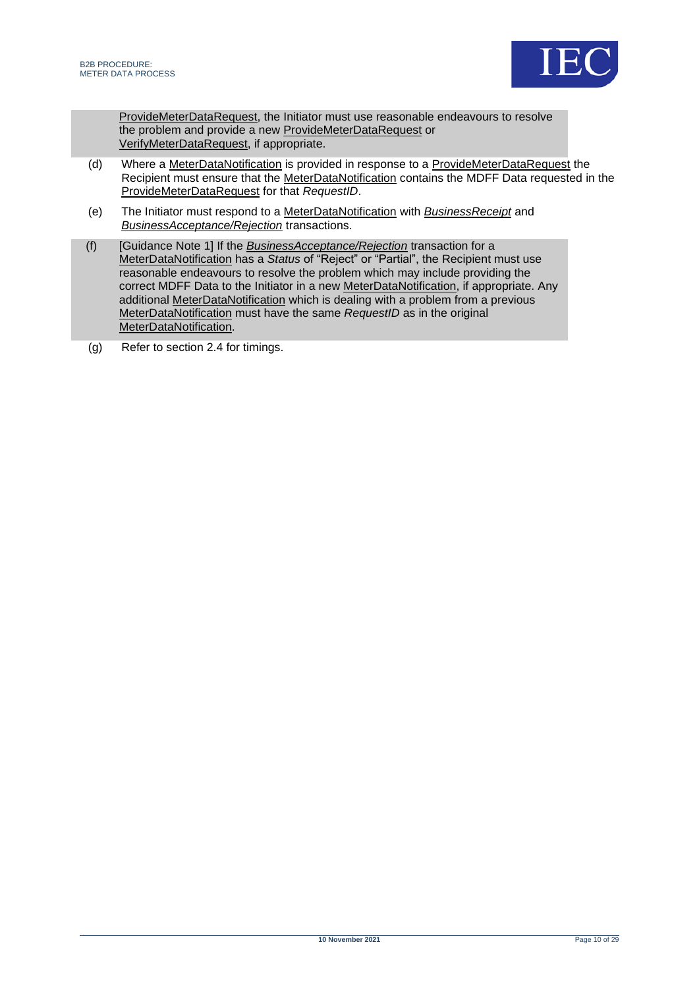

ProvideMeterDataRequest, the Initiator must use reasonable endeavours to resolve the problem and provide a new ProvideMeterDataRequest or VerifyMeterDataRequest, if appropriate.

- (d) Where a MeterDataNotification is provided in response to a ProvideMeterDataRequest the Recipient must ensure that the MeterDataNotification contains the MDFF Data requested in the ProvideMeterDataRequest for that *RequestID*.
- (e) The Initiator must respond to a MeterDataNotification with *BusinessReceipt* and *BusinessAcceptance/Rejection* transactions.
- (f) [Guidance Note 1] If the *BusinessAcceptance/Rejection* transaction for a MeterDataNotification has a *Status* of "Reject" or "Partial", the Recipient must use reasonable endeavours to resolve the problem which may include providing the correct MDFF Data to the Initiator in a new MeterDataNotification, if appropriate. Any additional MeterDataNotification which is dealing with a problem from a previous MeterDataNotification must have the same *RequestID* as in the original MeterDataNotification.
- (g) Refer to section 2.4 for timings.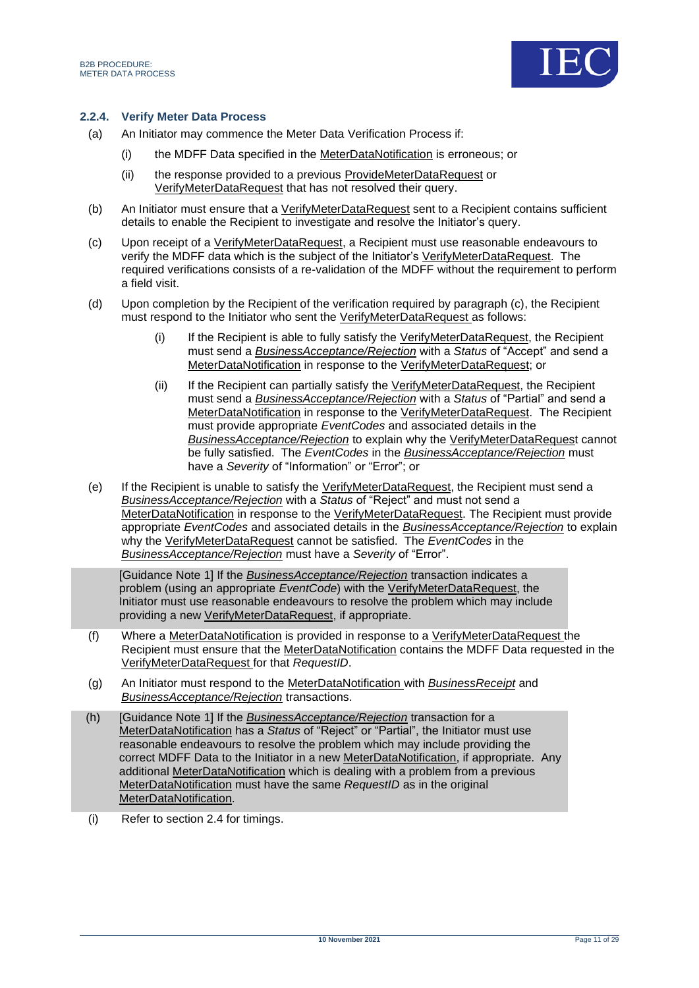

## **2.2.4. Verify Meter Data Process**

- (a) An Initiator may commence the Meter Data Verification Process if:
	- (i) the MDFF Data specified in the MeterDataNotification is erroneous; or
	- (ii) the response provided to a previous ProvideMeterDataRequest or VerifyMeterDataRequest that has not resolved their query.
- (b) An Initiator must ensure that a VerifyMeterDataRequest sent to a Recipient contains sufficient details to enable the Recipient to investigate and resolve the Initiator's query.
- (c) Upon receipt of a VerifyMeterDataRequest, a Recipient must use reasonable endeavours to verify the MDFF data which is the subject of the Initiator's VerifyMeterDataRequest. The required verifications consists of a re-validation of the MDFF without the requirement to perform a field visit.
- (d) Upon completion by the Recipient of the verification required by paragraph (c), the Recipient must respond to the Initiator who sent the VerifyMeterDataRequest as follows:
	- (i) If the Recipient is able to fully satisfy the VerifyMeterDataRequest, the Recipient must send a *BusinessAcceptance/Rejection* with a *Status* of "Accept" and send a MeterDataNotification in response to the VerifyMeterDataRequest; or
	- (ii) If the Recipient can partially satisfy the VerifyMeterDataRequest, the Recipient must send a *BusinessAcceptance/Rejection* with a *Status* of "Partial" and send a MeterDataNotification in response to the VerifyMeterDataRequest. The Recipient must provide appropriate *EventCodes* and associated details in the *BusinessAcceptance/Rejection* to explain why the VerifyMeterDataRequest cannot be fully satisfied. The *EventCodes* in the *BusinessAcceptance/Rejection* must have a *Severity* of "Information" or "Error"; or
- (e) If the Recipient is unable to satisfy the VerifyMeterDataRequest, the Recipient must send a *BusinessAcceptance/Rejection* with a *Status* of "Reject" and must not send a MeterDataNotification in response to the VerifyMeterDataRequest. The Recipient must provide appropriate *EventCodes* and associated details in the *BusinessAcceptance/Rejection* to explain why the VerifyMeterDataRequest cannot be satisfied. The *EventCodes* in the *BusinessAcceptance/Rejection* must have a *Severity* of "Error".

[Guidance Note 1] If the *BusinessAcceptance/Rejection* transaction indicates a problem (using an appropriate *EventCode*) with the VerifyMeterDataRequest, the Initiator must use reasonable endeavours to resolve the problem which may include providing a new VerifyMeterDataRequest, if appropriate.

- (f) Where a MeterDataNotification is provided in response to a VerifyMeterDataRequest the Recipient must ensure that the MeterDataNotification contains the MDFF Data requested in the VerifyMeterDataRequest for that *RequestID*.
- (g) An Initiator must respond to the MeterDataNotification with *BusinessReceipt* and *BusinessAcceptance/Rejection* transactions.
- (h) [Guidance Note 1] If the *BusinessAcceptance/Rejection* transaction for a MeterDataNotification has a *Status* of "Reject" or "Partial", the Initiator must use reasonable endeavours to resolve the problem which may include providing the correct MDFF Data to the Initiator in a new MeterDataNotification, if appropriate. Any additional MeterDataNotification which is dealing with a problem from a previous MeterDataNotification must have the same *RequestID* as in the original MeterDataNotification.
- (i) Refer to section [2.4](#page-15-0) for timings.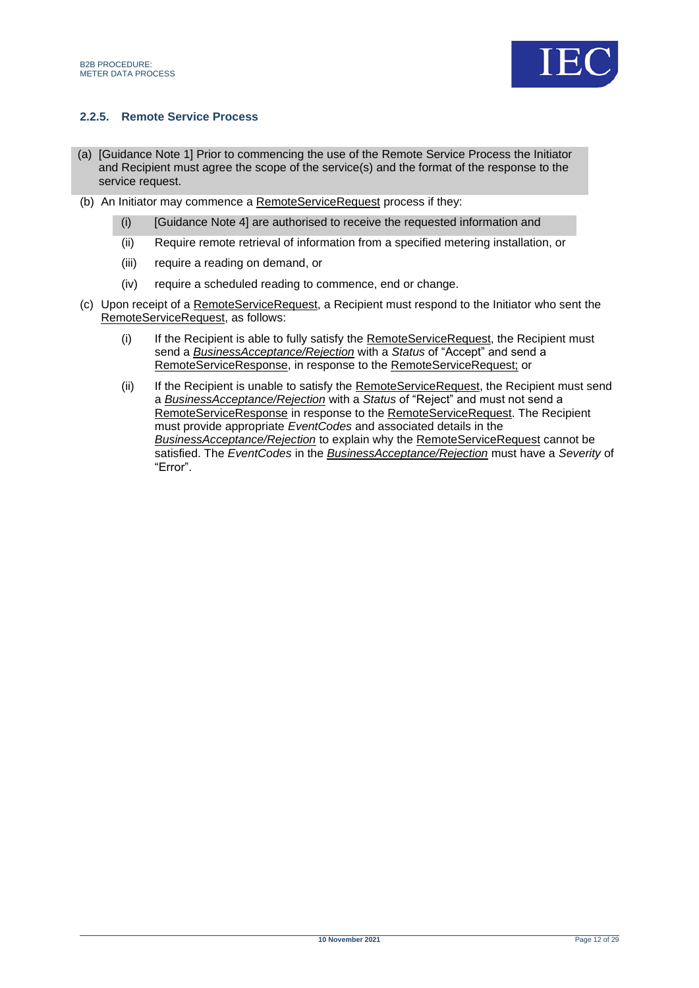

## **2.2.5. Remote Service Process**

- (a) [Guidance Note 1] Prior to commencing the use of the Remote Service Process the Initiator and Recipient must agree the scope of the service(s) and the format of the response to the service request.
- (b) An Initiator may commence a RemoteServiceRequest process if they:
	- (i) [Guidance Note 4] are authorised to receive the requested information and
	- (ii) Require remote retrieval of information from a specified metering installation, or
	- (iii) require a reading on demand, or
	- (iv) require a scheduled reading to commence, end or change.
- (c) Upon receipt of a RemoteServiceRequest, a Recipient must respond to the Initiator who sent the RemoteServiceRequest, as follows:
	- (i) If the Recipient is able to fully satisfy the RemoteServiceRequest, the Recipient must send a *BusinessAcceptance/Rejection* with a *Status* of "Accept" and send a RemoteServiceResponse, in response to the RemoteServiceRequest; or
	- (ii) If the Recipient is unable to satisfy the RemoteServiceRequest, the Recipient must send a *BusinessAcceptance/Rejection* with a *Status* of "Reject" and must not send a RemoteServiceResponse in response to the RemoteServiceRequest. The Recipient must provide appropriate *EventCodes* and associated details in the *BusinessAcceptance/Rejection* to explain why the RemoteServiceRequest cannot be satisfied. The *EventCodes* in the *BusinessAcceptance/Rejection* must have a *Severity* of "Error".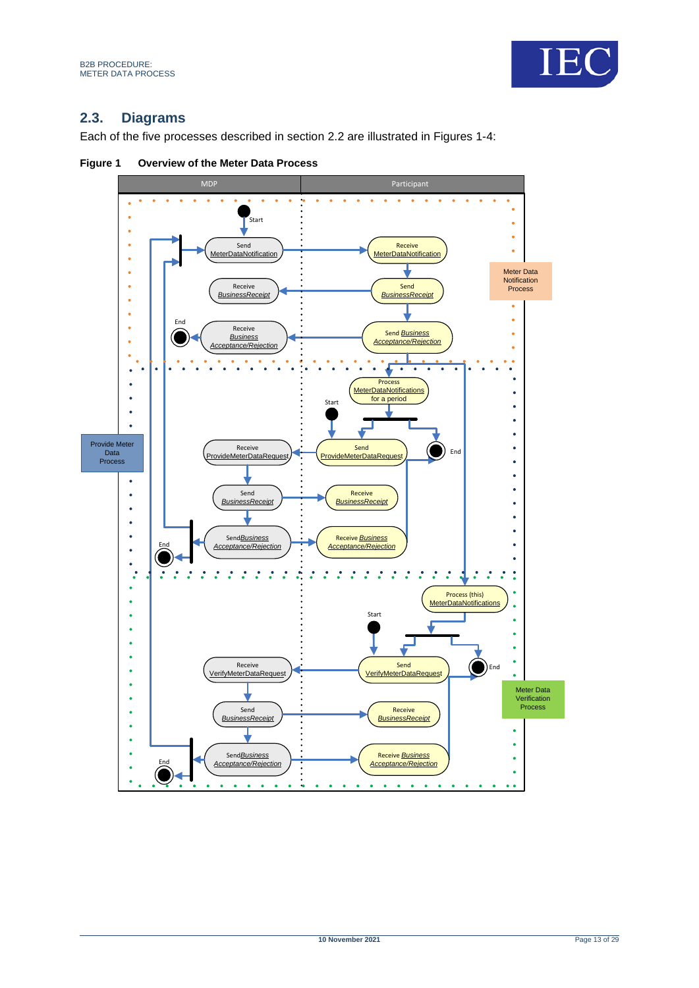



# <span id="page-12-0"></span>**2.3. Diagrams**

Each of the five processes described in section [2.2](#page-7-2) are illustrated in Figures 1-4:

<span id="page-12-1"></span>**Figure 1 Overview of the Meter Data Process**

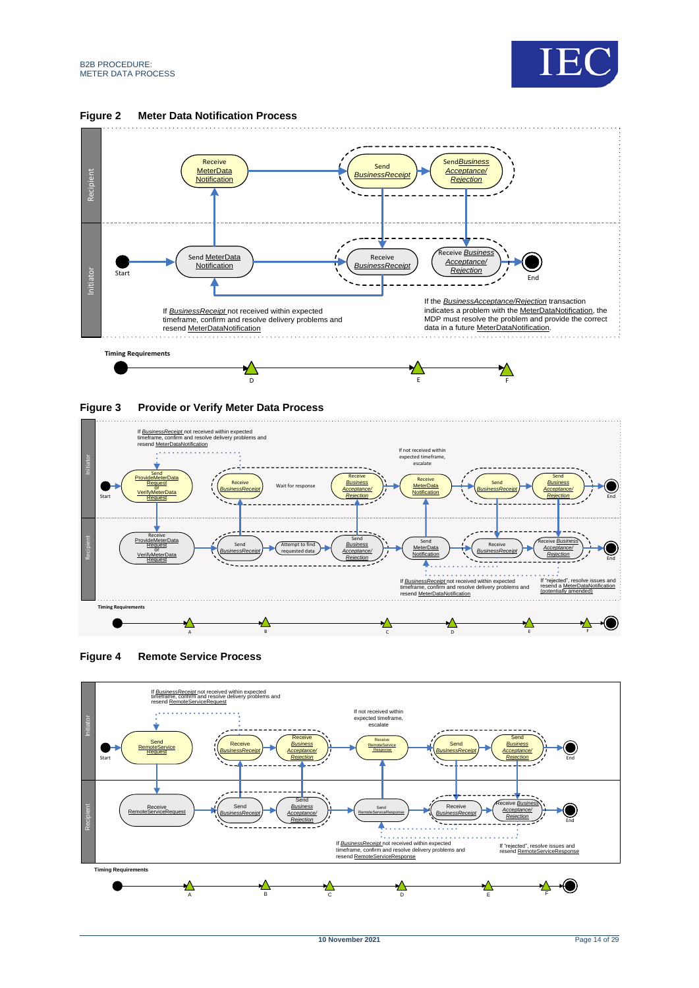

<span id="page-13-0"></span>



<span id="page-13-1"></span>



<span id="page-13-2"></span>

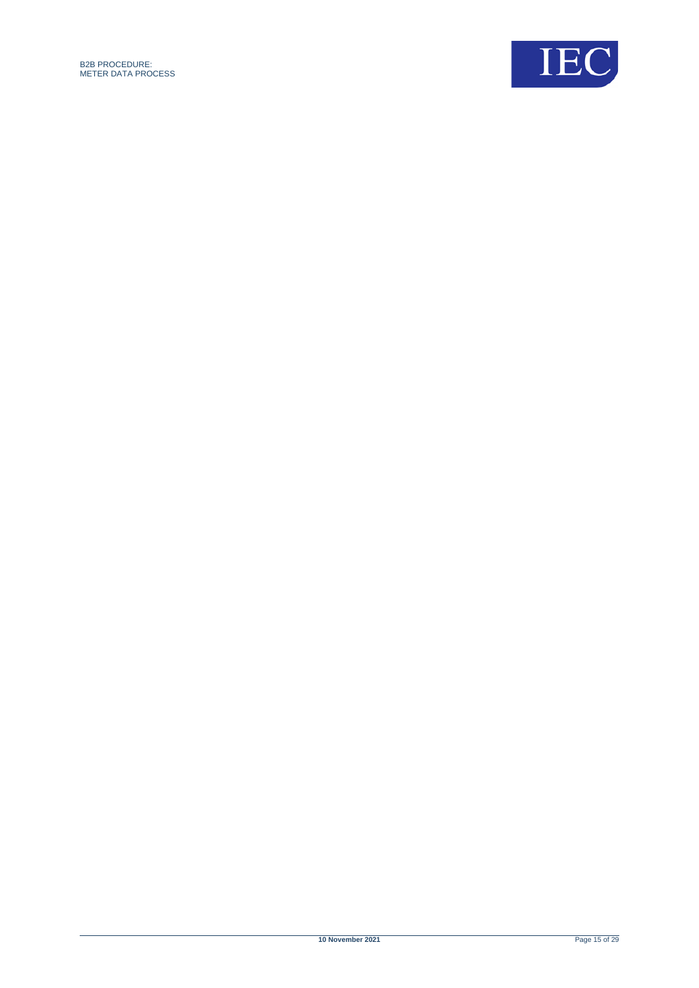B2B PROCEDURE: METER DATA PROCESS

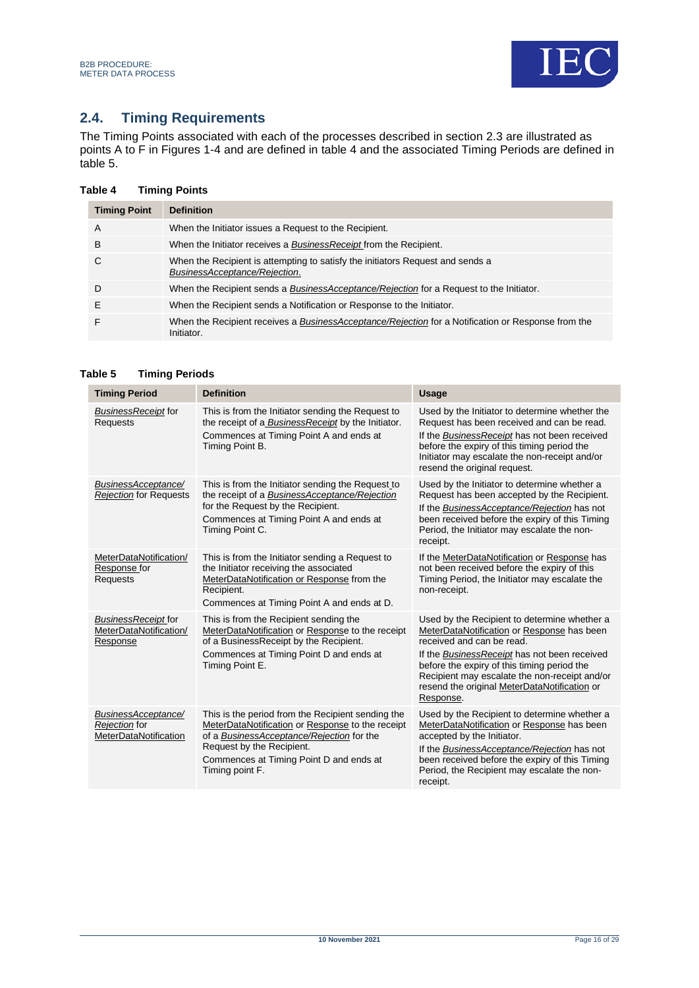

# <span id="page-15-0"></span>**2.4. Timing Requirements**

The Timing Points associated with each of the processes described in section [2.3](#page-12-0) are illustrated as points A to F in Figures 1-4 and are defined in table 4 and the associated Timing Periods are defined in table 5.

<span id="page-15-1"></span>

| Table 4<br><b>Timing Points</b> |                     |                                                                                                                  |  |  |
|---------------------------------|---------------------|------------------------------------------------------------------------------------------------------------------|--|--|
|                                 | <b>Timing Point</b> | <b>Definition</b>                                                                                                |  |  |
|                                 | $\overline{A}$      | When the Initiator issues a Request to the Recipient.                                                            |  |  |
|                                 | B                   | When the Initiator receives a Business Receipt from the Recipient.                                               |  |  |
|                                 | C                   | When the Recipient is attempting to satisfy the initiators Request and sends a<br>BusinessAcceptance/Rejection.  |  |  |
|                                 | D                   | When the Recipient sends a BusinessAcceptance/Rejection for a Request to the Initiator.                          |  |  |
|                                 | E                   | When the Recipient sends a Notification or Response to the Initiator.                                            |  |  |
|                                 | F                   | When the Recipient receives a BusinessAcceptance/Rejection for a Notification or Response from the<br>Initiator. |  |  |

<span id="page-15-2"></span>

| Table 5 |  | <b>Timing Periods</b> |
|---------|--|-----------------------|
|         |  |                       |

| <b>Timing Period</b>                                                 | <b>Definition</b>                                                                                                                                                                                                                             | <b>Usage</b>                                                                                                                                                                                                                                                                                                                         |
|----------------------------------------------------------------------|-----------------------------------------------------------------------------------------------------------------------------------------------------------------------------------------------------------------------------------------------|--------------------------------------------------------------------------------------------------------------------------------------------------------------------------------------------------------------------------------------------------------------------------------------------------------------------------------------|
| <b>BusinessReceipt for</b><br>Requests                               | This is from the Initiator sending the Request to<br>the receipt of a BusinessReceipt by the Initiator.<br>Commences at Timing Point A and ends at<br>Timing Point B.                                                                         | Used by the Initiator to determine whether the<br>Request has been received and can be read.<br>If the BusinessReceipt has not been received<br>before the expiry of this timing period the<br>Initiator may escalate the non-receipt and/or<br>resend the original request.                                                         |
| BusinessAcceptance/<br><b>Rejection for Requests</b>                 | This is from the Initiator sending the Request to<br>the receipt of a BusinessAcceptance/Rejection<br>for the Request by the Recipient.<br>Commences at Timing Point A and ends at<br>Timing Point C.                                         | Used by the Initiator to determine whether a<br>Request has been accepted by the Recipient.<br>If the BusinessAcceptance/Rejection has not<br>been received before the expiry of this Timing<br>Period, the Initiator may escalate the non-<br>receipt.                                                                              |
| MeterDataNotification/<br>Response for<br>Requests                   | This is from the Initiator sending a Request to<br>the Initiator receiving the associated<br>MeterDataNotification or Response from the<br>Recipient.<br>Commences at Timing Point A and ends at D.                                           | If the MeterDataNotification or Response has<br>not been received before the expiry of this<br>Timing Period, the Initiator may escalate the<br>non-receipt.                                                                                                                                                                         |
| <b>BusinessReceipt for</b><br>MeterDataNotification/<br>Response     | This is from the Recipient sending the<br>MeterDataNotification or Response to the receipt<br>of a BusinessReceipt by the Recipient.<br>Commences at Timing Point D and ends at<br>Timing Point E.                                            | Used by the Recipient to determine whether a<br>MeterDataNotification or Response has been<br>received and can be read.<br>If the BusinessReceipt has not been received<br>before the expiry of this timing period the<br>Recipient may escalate the non-receipt and/or<br>resend the original MeterDataNotification or<br>Response. |
| BusinessAcceptance/<br><b>Rejection</b> for<br>MeterDataNotification | This is the period from the Recipient sending the<br>MeterDataNotification or Response to the receipt<br>of a BusinessAcceptance/Rejection for the<br>Request by the Recipient.<br>Commences at Timing Point D and ends at<br>Timing point F. | Used by the Recipient to determine whether a<br>MeterDataNotification or Response has been<br>accepted by the Initiator.<br>If the BusinessAcceptance/Rejection has not<br>been received before the expiry of this Timing<br>Period, the Recipient may escalate the non-<br>receipt.                                                 |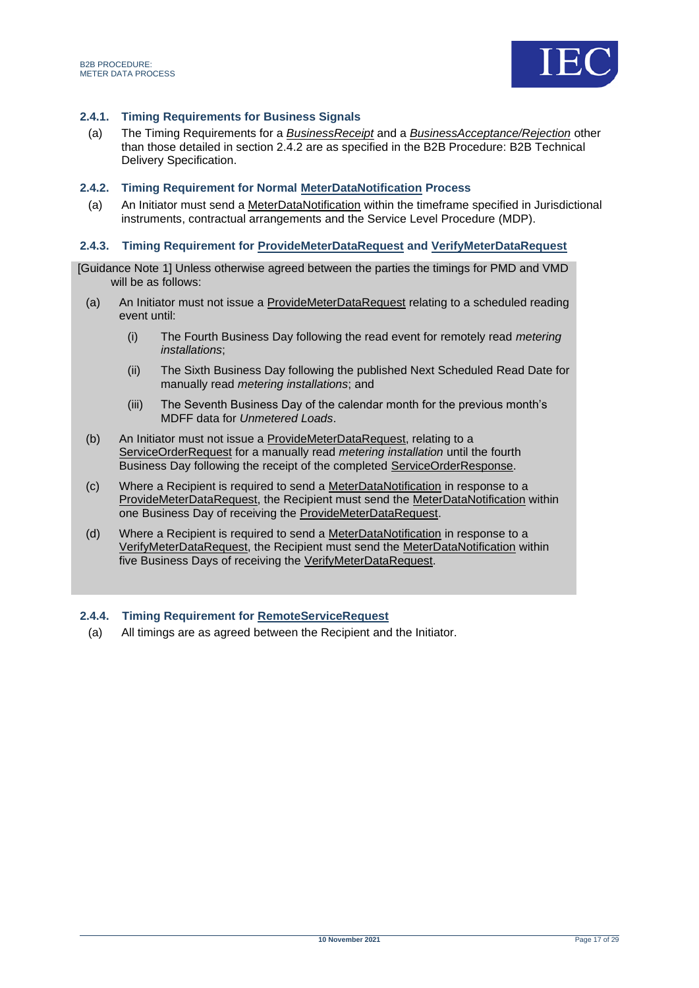

#### **2.4.1. Timing Requirements for Business Signals**

(a) The Timing Requirements for a *BusinessReceipt* and a *BusinessAcceptance/Rejection* other than those detailed in section [2.4.2](#page-16-0) are as specified in the B2B Procedure: B2B Technical Delivery Specification.

#### <span id="page-16-0"></span>**2.4.2. Timing Requirement for Normal MeterDataNotification Process**

(a) An Initiator must send a MeterDataNotification within the timeframe specified in Jurisdictional instruments, contractual arrangements and the Service Level Procedure (MDP).

#### **2.4.3. Timing Requirement for ProvideMeterDataRequest and VerifyMeterDataRequest**

[Guidance Note 1] Unless otherwise agreed between the parties the timings for PMD and VMD will be as follows:

- (a) An Initiator must not issue a ProvideMeterDataRequest relating to a scheduled reading event until:
	- (i) The Fourth Business Day following the read event for remotely read *metering installations*;
	- (ii) The Sixth Business Day following the published Next Scheduled Read Date for manually read *metering installations*; and
	- (iii) The Seventh Business Day of the calendar month for the previous month's MDFF data for *Unmetered Loads*.
- (b) An Initiator must not issue a ProvideMeterDataRequest, relating to a ServiceOrderRequest for a manually read *metering installation* until the fourth Business Day following the receipt of the completed ServiceOrderResponse.
- (c) Where a Recipient is required to send a MeterDataNotification in response to a ProvideMeterDataRequest, the Recipient must send the MeterDataNotification within one Business Day of receiving the ProvideMeterDataRequest.
- (d) Where a Recipient is required to send a MeterDataNotification in response to a VerifyMeterDataRequest, the Recipient must send the MeterDataNotification within five Business Days of receiving the VerifyMeterDataRequest.

#### **2.4.4. Timing Requirement for RemoteServiceRequest**

(a) All timings are as agreed between the Recipient and the Initiator.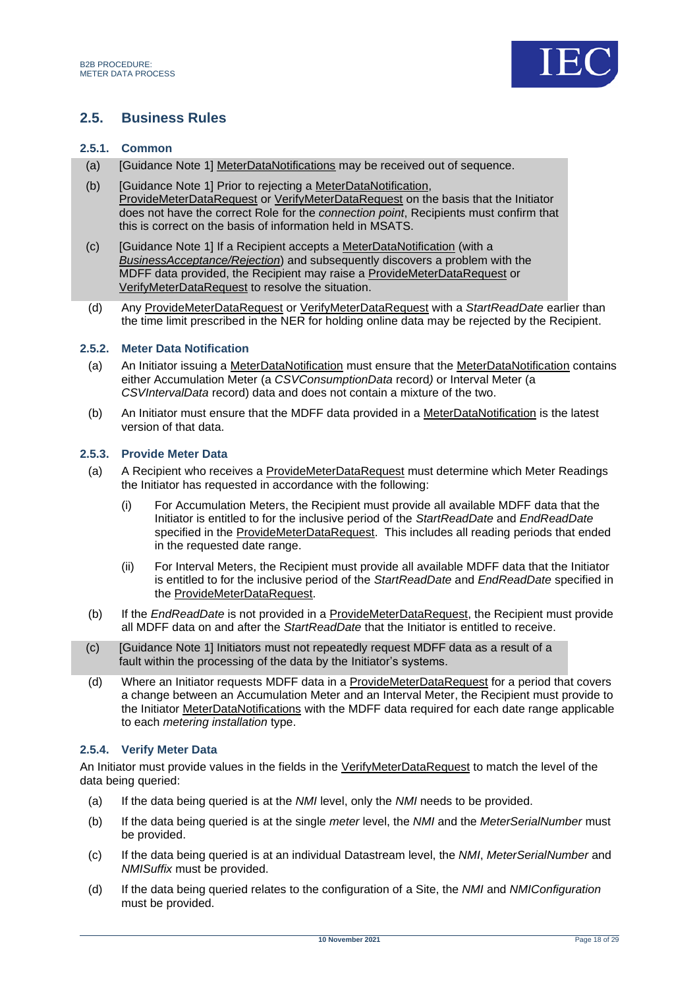

# <span id="page-17-0"></span>**2.5. Business Rules**

#### **2.5.1. Common**

- (a) [Guidance Note 1] MeterDataNotifications may be received out of sequence.
- (b) [Guidance Note 1] Prior to rejecting a MeterDataNotification, ProvideMeterDataRequest or VerifyMeterDataRequest on the basis that the Initiator does not have the correct Role for the *connection point*, Recipients must confirm that this is correct on the basis of information held in MSATS.
- (c) [Guidance Note 1] If a Recipient accepts a MeterDataNotification (with a *BusinessAcceptance/Rejection*) and subsequently discovers a problem with the MDFF data provided, the Recipient may raise a ProvideMeterDataRequest or VerifyMeterDataRequest to resolve the situation.
- (d) Any ProvideMeterDataRequest or VerifyMeterDataRequest with a *StartReadDate* earlier than the time limit prescribed in the NER for holding online data may be rejected by the Recipient.

#### **2.5.2. Meter Data Notification**

- (a) An Initiator issuing a MeterDataNotification must ensure that the MeterDataNotification contains either Accumulation Meter (a *CSVConsumptionData* record*)* or Interval Meter (a *CSVIntervalData* record) data and does not contain a mixture of the two.
- (b) An Initiator must ensure that the MDFF data provided in a MeterDataNotification is the latest version of that data.

#### **2.5.3. Provide Meter Data**

- (a) A Recipient who receives a ProvideMeterDataRequest must determine which Meter Readings the Initiator has requested in accordance with the following:
	- (i) For Accumulation Meters, the Recipient must provide all available MDFF data that the Initiator is entitled to for the inclusive period of the *StartReadDate* and *EndReadDate* specified in the **ProvideMeterDataRequest**. This includes all reading periods that ended in the requested date range.
	- (ii) For Interval Meters, the Recipient must provide all available MDFF data that the Initiator is entitled to for the inclusive period of the *StartReadDate* and *EndReadDate* specified in the ProvideMeterDataRequest.
- (b) If the *EndReadDate* is not provided in a ProvideMeterDataRequest, the Recipient must provide all MDFF data on and after the *StartReadDate* that the Initiator is entitled to receive.
- (c) [Guidance Note 1] Initiators must not repeatedly request MDFF data as a result of a fault within the processing of the data by the Initiator's systems.
- (d) Where an Initiator requests MDFF data in a ProvideMeterDataRequest for a period that covers a change between an Accumulation Meter and an Interval Meter, the Recipient must provide to the Initiator MeterDataNotifications with the MDFF data required for each date range applicable to each *metering installation* type.

#### **2.5.4. Verify Meter Data**

An Initiator must provide values in the fields in the VerifyMeterDataRequest to match the level of the data being queried:

- (a) If the data being queried is at the *NMI* level, only the *NMI* needs to be provided.
- (b) If the data being queried is at the single *meter* level, the *NMI* and the *MeterSerialNumber* must be provided.
- (c) If the data being queried is at an individual Datastream level, the *NMI*, *MeterSerialNumber* and *NMISuffix* must be provided.
- (d) If the data being queried relates to the configuration of a Site, the *NMI* and *NMIConfiguration* must be provided.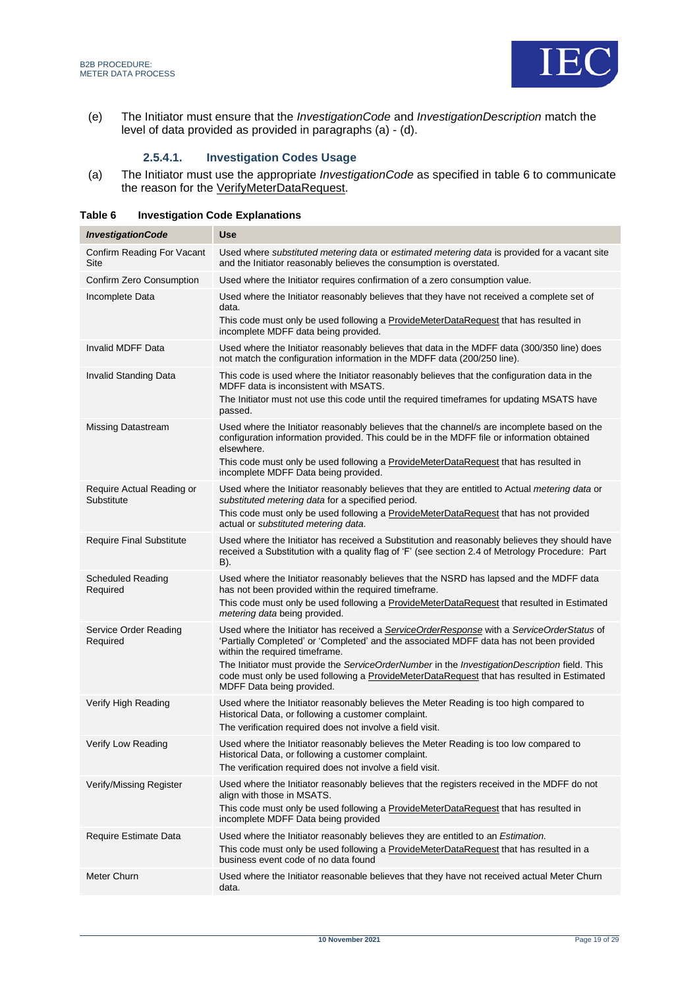

(e) The Initiator must ensure that the *InvestigationCode* and *InvestigationDescription* match the level of data provided as provided in paragraphs (a) - (d).

#### **2.5.4.1. Investigation Codes Usage**

(a) The Initiator must use the appropriate *InvestigationCode* as specified in table 6 to communicate the reason for the VerifyMeterDataRequest.

<span id="page-18-0"></span>

| Table 6 | <b>Investigation Code Explanations</b> |
|---------|----------------------------------------|
|         |                                        |

| <b>InvestigationCode</b>                | <b>Use</b>                                                                                                                                                                                                                                                                                      |
|-----------------------------------------|-------------------------------------------------------------------------------------------------------------------------------------------------------------------------------------------------------------------------------------------------------------------------------------------------|
| Confirm Reading For Vacant<br>Site      | Used where <i>substituted metering data</i> or <i>estimated metering data</i> is provided for a vacant site<br>and the Initiator reasonably believes the consumption is overstated.                                                                                                             |
| Confirm Zero Consumption                | Used where the Initiator requires confirmation of a zero consumption value.                                                                                                                                                                                                                     |
| Incomplete Data                         | Used where the Initiator reasonably believes that they have not received a complete set of<br>data.                                                                                                                                                                                             |
|                                         | This code must only be used following a <b>ProvideMeterDataRequest</b> that has resulted in<br>incomplete MDFF data being provided.                                                                                                                                                             |
| Invalid MDFF Data                       | Used where the Initiator reasonably believes that data in the MDFF data (300/350 line) does<br>not match the configuration information in the MDFF data (200/250 line).                                                                                                                         |
| <b>Invalid Standing Data</b>            | This code is used where the Initiator reasonably believes that the configuration data in the<br>MDFF data is inconsistent with MSATS.<br>The Initiator must not use this code until the required timeframes for updating MSATS have<br>passed.                                                  |
| Missing Datastream                      | Used where the Initiator reasonably believes that the channel/s are incomplete based on the<br>configuration information provided. This could be in the MDFF file or information obtained<br>elsewhere.<br>This code must only be used following a ProvideMeterDataRequest that has resulted in |
|                                         | incomplete MDFF Data being provided.                                                                                                                                                                                                                                                            |
| Require Actual Reading or<br>Substitute | Used where the Initiator reasonably believes that they are entitled to Actual metering data or<br>substituted metering data for a specified period.                                                                                                                                             |
|                                         | This code must only be used following a ProvideMeterDataRequest that has not provided<br>actual or substituted metering data.                                                                                                                                                                   |
| <b>Require Final Substitute</b>         | Used where the Initiator has received a Substitution and reasonably believes they should have<br>received a Substitution with a quality flag of 'F' (see section 2.4 of Metrology Procedure: Part<br>B).                                                                                        |
| Scheduled Reading<br>Required           | Used where the Initiator reasonably believes that the NSRD has lapsed and the MDFF data<br>has not been provided within the required timeframe.                                                                                                                                                 |
|                                         | This code must only be used following a ProvideMeterDataRequest that resulted in Estimated<br><i>metering data</i> being provided.                                                                                                                                                              |
| Service Order Reading<br>Required       | Used where the Initiator has received a ServiceOrderResponse with a ServiceOrderStatus of<br>'Partially Completed' or 'Completed' and the associated MDFF data has not been provided<br>within the required timeframe.                                                                          |
|                                         | The Initiator must provide the ServiceOrderNumber in the InvestigationDescription field. This<br>code must only be used following a ProvideMeterDataRequest that has resulted in Estimated<br>MDFF Data being provided.                                                                         |
| Verify High Reading                     | Used where the Initiator reasonably believes the Meter Reading is too high compared to<br>Historical Data, or following a customer complaint.                                                                                                                                                   |
|                                         | The verification required does not involve a field visit.                                                                                                                                                                                                                                       |
| Verify Low Reading                      | Used where the Initiator reasonably believes the Meter Reading is too low compared to<br>Historical Data, or following a customer complaint.<br>The verification required does not involve a field visit.                                                                                       |
| Verify/Missing Register                 | Used where the Initiator reasonably believes that the registers received in the MDFF do not<br>align with those in MSATS.                                                                                                                                                                       |
|                                         | This code must only be used following a ProvideMeterDataRequest that has resulted in<br>incomplete MDFF Data being provided                                                                                                                                                                     |
| Require Estimate Data                   | Used where the Initiator reasonably believes they are entitled to an <i>Estimation</i> .                                                                                                                                                                                                        |
|                                         | This code must only be used following a ProvideMeterDataRequest that has resulted in a<br>business event code of no data found                                                                                                                                                                  |
| Meter Churn                             | Used where the Initiator reasonable believes that they have not received actual Meter Churn<br>data.                                                                                                                                                                                            |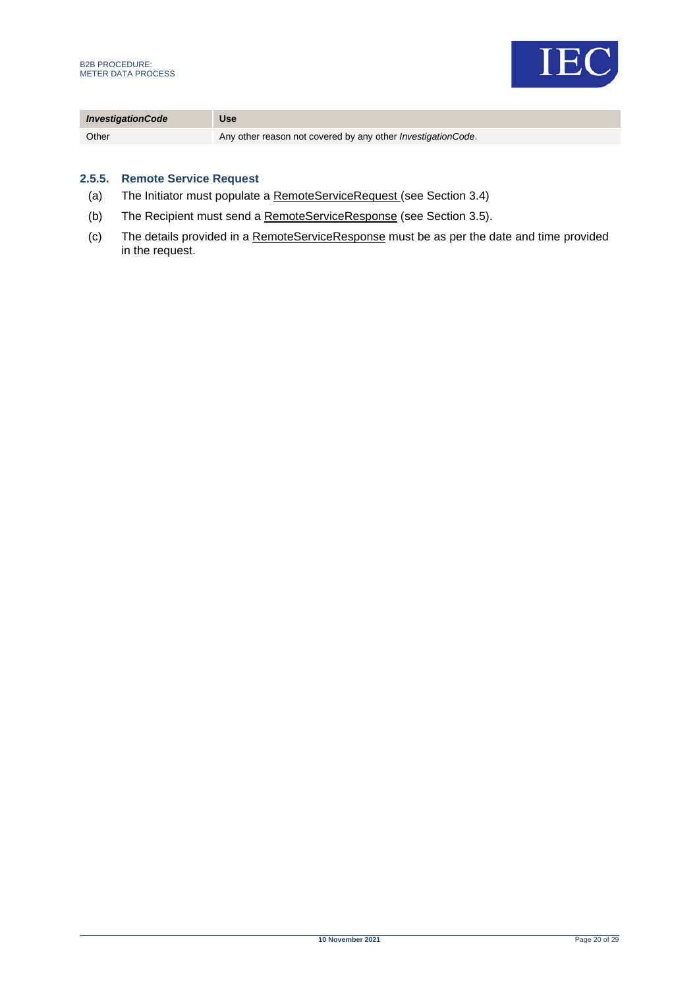

| <i><b>InvestigationCode</b></i> | <b>Use</b>                                                           |
|---------------------------------|----------------------------------------------------------------------|
| Other                           | Any other reason not covered by any other <i>InvestigationCode</i> . |

#### **2.5.5. Remote Service Request**

- (a) The Initiator must populate a RemoteServiceRequest (see Section 3.4)
- (b) The Recipient must send a RemoteServiceResponse (see Section 3.5).
- (c) The details provided in a RemoteServiceResponse must be as per the date and time provided in the request.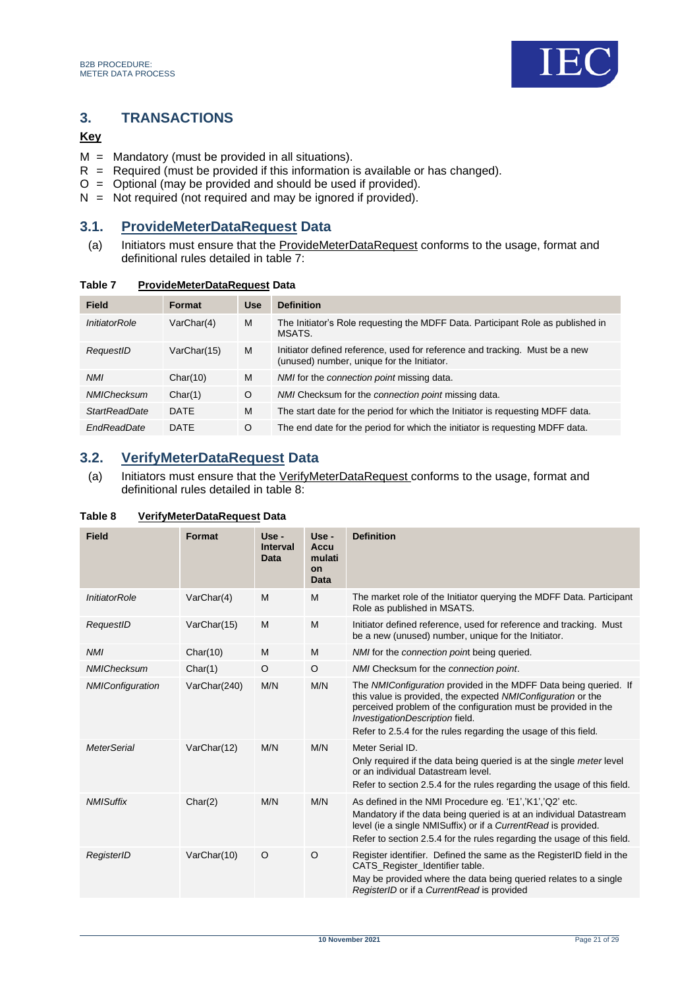

# <span id="page-20-0"></span>**3. TRANSACTIONS**

## **Key**

- $M =$  Mandatory (must be provided in all situations).
- $R$  = Required (must be provided if this information is available or has changed).
- O = Optional (may be provided and should be used if provided).
- $N = Not required (not required and may be ignored if provided).$

## <span id="page-20-1"></span>**3.1. ProvideMeterDataRequest Data**

(a) Initiators must ensure that the ProvideMeterDataRequest conforms to the usage, format and definitional rules detailed in table 7:

#### <span id="page-20-3"></span>**Table 7 ProvideMeterDataRequest Data**

| <b>Field</b>         | Format      | <b>Use</b> | <b>Definition</b>                                                                                                         |
|----------------------|-------------|------------|---------------------------------------------------------------------------------------------------------------------------|
| <i>InitiatorRole</i> | VarChar(4)  | M          | The Initiator's Role requesting the MDFF Data. Participant Role as published in<br>MSATS.                                 |
| RequestID            | VarChar(15) | M          | Initiator defined reference, used for reference and tracking. Must be a new<br>(unused) number, unique for the Initiator. |
| <b>NMI</b>           | Char(10)    | M          | NMI for the connection point missing data.                                                                                |
| <b>NMIChecksum</b>   | Char(1)     | O          | NMI Checksum for the connection point missing data.                                                                       |
| <b>StartReadDate</b> | <b>DATE</b> | M          | The start date for the period for which the Initiator is requesting MDFF data.                                            |
| EndReadDate          | <b>DATE</b> | O          | The end date for the period for which the initiator is requesting MDFF data.                                              |

# <span id="page-20-2"></span>**3.2. VerifyMeterDataRequest Data**

(a) Initiators must ensure that the VerifyMeterDataRequest conforms to the usage, format and definitional rules detailed in table 8:

| <b>Field</b>            | Format       | Use -<br><b>Interval</b><br>Data | Use -<br>Accu<br>mulati<br>on<br>Data | <b>Definition</b>                                                                                                                                                                                                                                                                                        |
|-------------------------|--------------|----------------------------------|---------------------------------------|----------------------------------------------------------------------------------------------------------------------------------------------------------------------------------------------------------------------------------------------------------------------------------------------------------|
| InitiatorRole           | VarChar(4)   | M                                | M                                     | The market role of the Initiator querying the MDFF Data. Participant<br>Role as published in MSATS.                                                                                                                                                                                                      |
| RequestID               | VarChar(15)  | M                                | M                                     | Initiator defined reference, used for reference and tracking. Must<br>be a new (unused) number, unique for the Initiator.                                                                                                                                                                                |
| <b>NMI</b>              | Char(10)     | M                                | M                                     | NMI for the connection point being queried.                                                                                                                                                                                                                                                              |
| <b>NMIChecksum</b>      | Char(1)      | $\circ$                          | $\circ$                               | NMI Checksum for the connection point.                                                                                                                                                                                                                                                                   |
| <b>NMIConfiguration</b> | VarChar(240) | M/N                              | M/N                                   | The NMIConfiguration provided in the MDFF Data being queried. If<br>this value is provided, the expected NMIConfiguration or the<br>perceived problem of the configuration must be provided in the<br>InvestigationDescription field.<br>Refer to 2.5.4 for the rules regarding the usage of this field. |
| <b>MeterSerial</b>      | VarChar(12)  | M/N                              | M/N                                   | Meter Serial ID.<br>Only required if the data being queried is at the single meter level<br>or an individual Datastream level.<br>Refer to section 2.5.4 for the rules regarding the usage of this field.                                                                                                |
| <b>NMISuffix</b>        | Char(2)      | M/N                              | M/N                                   | As defined in the NMI Procedure eg. 'E1','K1','Q2' etc.<br>Mandatory if the data being queried is at an individual Datastream<br>level (ie a single NMISuffix) or if a CurrentRead is provided.<br>Refer to section 2.5.4 for the rules regarding the usage of this field.                               |
| RegisterID              | VarChar(10)  | $\Omega$                         | $\Omega$                              | Register identifier. Defined the same as the RegisterID field in the<br>CATS_Register_Identifier table.<br>May be provided where the data being queried relates to a single<br>RegisterID or if a CurrentRead is provided                                                                                |

#### <span id="page-20-4"></span>**Table 8 VerifyMeterDataRequest Data**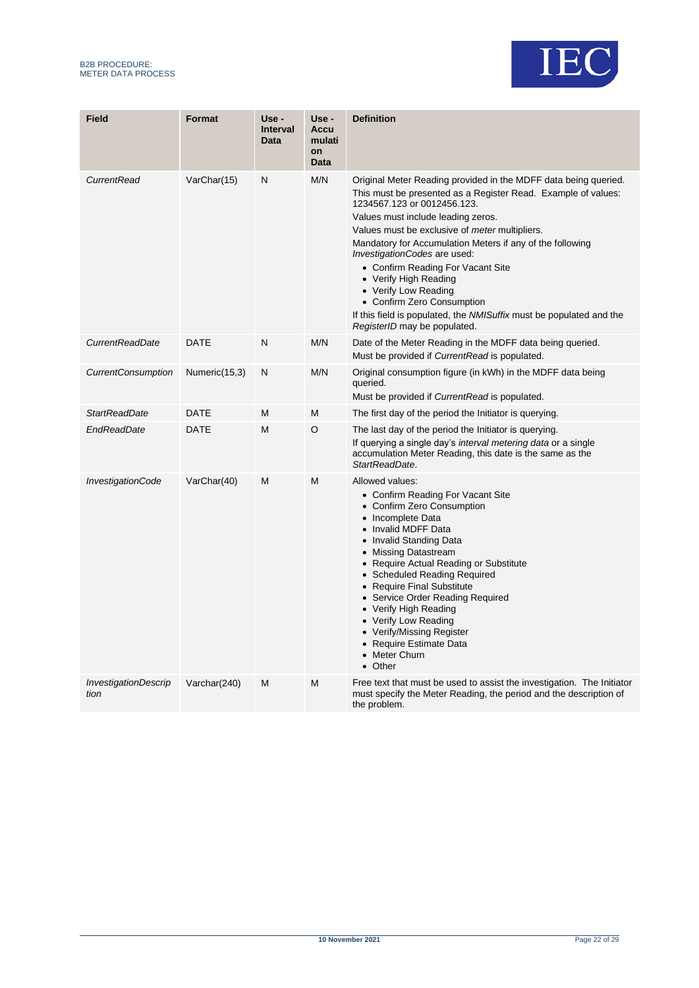

| <b>Field</b>                               | <b>Format</b> | Use -<br><b>Interval</b><br>Data | Use -<br>Accu<br>mulati<br>on<br>Data | <b>Definition</b>                                                                                                                                                                                                                                                                                                                                                                                                                                                                                                                                                                      |
|--------------------------------------------|---------------|----------------------------------|---------------------------------------|----------------------------------------------------------------------------------------------------------------------------------------------------------------------------------------------------------------------------------------------------------------------------------------------------------------------------------------------------------------------------------------------------------------------------------------------------------------------------------------------------------------------------------------------------------------------------------------|
| CurrentRead                                | VarChar(15)   | N                                | M/N                                   | Original Meter Reading provided in the MDFF data being queried.<br>This must be presented as a Register Read. Example of values:<br>1234567.123 or 0012456.123.<br>Values must include leading zeros.<br>Values must be exclusive of <i>meter</i> multipliers.<br>Mandatory for Accumulation Meters if any of the following<br>InvestigationCodes are used:<br>• Confirm Reading For Vacant Site<br>• Verify High Reading<br>• Verify Low Reading<br>• Confirm Zero Consumption<br>If this field is populated, the NMISuffix must be populated and the<br>RegisterID may be populated. |
| <b>CurrentReadDate</b>                     | DATE          | N                                | M/N                                   | Date of the Meter Reading in the MDFF data being queried.<br>Must be provided if <i>CurrentRead</i> is populated.                                                                                                                                                                                                                                                                                                                                                                                                                                                                      |
| <b>CurrentConsumption</b>                  | Numeric(15,3) | N                                | M/N                                   | Original consumption figure (in kWh) in the MDFF data being<br>queried.<br>Must be provided if <i>CurrentRead</i> is populated.                                                                                                                                                                                                                                                                                                                                                                                                                                                        |
| <b>StartReadDate</b>                       | <b>DATE</b>   | M                                | М                                     | The first day of the period the Initiator is querying.                                                                                                                                                                                                                                                                                                                                                                                                                                                                                                                                 |
| <b>EndReadDate</b>                         | <b>DATE</b>   | м                                | O                                     | The last day of the period the Initiator is querying.<br>If querying a single day's <i>interval metering data</i> or a single<br>accumulation Meter Reading, this date is the same as the<br>StartReadDate.                                                                                                                                                                                                                                                                                                                                                                            |
| <i><b>InvestigationCode</b></i>            | VarChar(40)   | M                                | М                                     | Allowed values:<br>• Confirm Reading For Vacant Site<br>• Confirm Zero Consumption<br>• Incomplete Data<br>• Invalid MDFF Data<br>• Invalid Standing Data<br>• Missing Datastream<br>• Require Actual Reading or Substitute<br>• Scheduled Reading Required<br>• Require Final Substitute<br>• Service Order Reading Required<br>• Verify High Reading<br>• Verify Low Reading<br>• Verify/Missing Register<br><b>Require Estimate Data</b><br>$\bullet$<br>• Meter Churn<br>• Other                                                                                                   |
| <i><b>InvestigationDescrip</b></i><br>tion | Varchar(240)  | М                                | М                                     | Free text that must be used to assist the investigation. The Initiator<br>must specify the Meter Reading, the period and the description of<br>the problem.                                                                                                                                                                                                                                                                                                                                                                                                                            |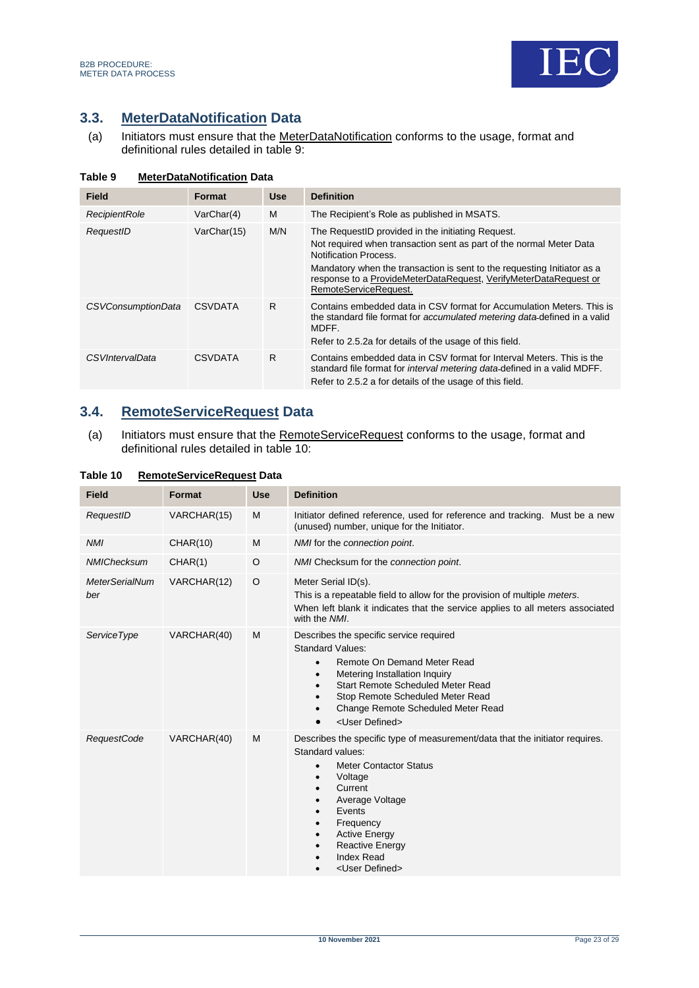

# <span id="page-22-0"></span>**3.3. MeterDataNotification Data**

(a) Initiators must ensure that the MeterDataNotification conforms to the usage, format and definitional rules detailed in table 9:

| <b>Field</b>           | <b>Format</b>  | <b>Use</b> | <b>Definition</b>                                                                                                                                                                                                                                                                                                         |  |  |
|------------------------|----------------|------------|---------------------------------------------------------------------------------------------------------------------------------------------------------------------------------------------------------------------------------------------------------------------------------------------------------------------------|--|--|
| RecipientRole          | VarChar(4)     | M          | The Recipient's Role as published in MSATS.                                                                                                                                                                                                                                                                               |  |  |
| RequestID              | VarChar(15)    | M/N        | The RequestID provided in the initiating Request.<br>Not required when transaction sent as part of the normal Meter Data<br>Notification Process.<br>Mandatory when the transaction is sent to the requesting Initiator as a<br>response to a ProvideMeterDataRequest, VerifyMeterDataRequest or<br>RemoteServiceRequest. |  |  |
| CSVConsumptionData     | <b>CSVDATA</b> | R          | Contains embedded data in CSV format for Accumulation Meters. This is<br>the standard file format for <i>accumulated metering data</i> -defined in a valid<br>MDFF.<br>Refer to 2.5.2a for details of the usage of this field.                                                                                            |  |  |
| <b>CSVIntervalData</b> | <b>CSVDATA</b> | R          | Contains embedded data in CSV format for Interval Meters. This is the<br>standard file format for <i>interval metering data</i> -defined in a valid MDFF.<br>Refer to 2.5.2 a for details of the usage of this field.                                                                                                     |  |  |

## <span id="page-22-2"></span>**Table 9 MeterDataNotification Data**

# <span id="page-22-1"></span>**3.4. RemoteServiceRequest Data**

(a) Initiators must ensure that the RemoteServiceRequest conforms to the usage, format and definitional rules detailed in table 10:

<span id="page-22-3"></span>**Table 10 RemoteServiceRequest Data**

| <b>Field</b>                 | Format      | <b>Use</b> | <b>Definition</b>                                                                                                                                                                                                                                                                                       |
|------------------------------|-------------|------------|---------------------------------------------------------------------------------------------------------------------------------------------------------------------------------------------------------------------------------------------------------------------------------------------------------|
| RequestID                    | VARCHAR(15) | M          | Initiator defined reference, used for reference and tracking. Must be a new<br>(unused) number, unique for the Initiator.                                                                                                                                                                               |
| <b>NMI</b>                   | CHAR(10)    | M          | NMI for the connection point.                                                                                                                                                                                                                                                                           |
| <b>NMIChecksum</b>           | CHAR(1)     | $\circ$    | NMI Checksum for the connection point.                                                                                                                                                                                                                                                                  |
| <b>MeterSerialNum</b><br>ber | VARCHAR(12) | O          | Meter Serial ID(s).<br>This is a repeatable field to allow for the provision of multiple meters.<br>When left blank it indicates that the service applies to all meters associated<br>with the NMI.                                                                                                     |
| <b>ServiceType</b>           | VARCHAR(40) | M          | Describes the specific service required<br><b>Standard Values:</b><br>Remote On Demand Meter Read<br>$\bullet$<br>Metering Installation Inquiry<br>$\bullet$<br>Start Remote Scheduled Meter Read<br>Stop Remote Scheduled Meter Read<br>Change Remote Scheduled Meter Read<br><user defined=""></user> |
| <b>RequestCode</b>           | VARCHAR(40) | M          | Describes the specific type of measurement/data that the initiator requires.<br>Standard values:<br><b>Meter Contactor Status</b><br>Voltage<br>Current<br>Average Voltage<br>Events<br>Frequency<br><b>Active Energy</b><br><b>Reactive Energy</b><br><b>Index Read</b><br><user defined=""></user>    |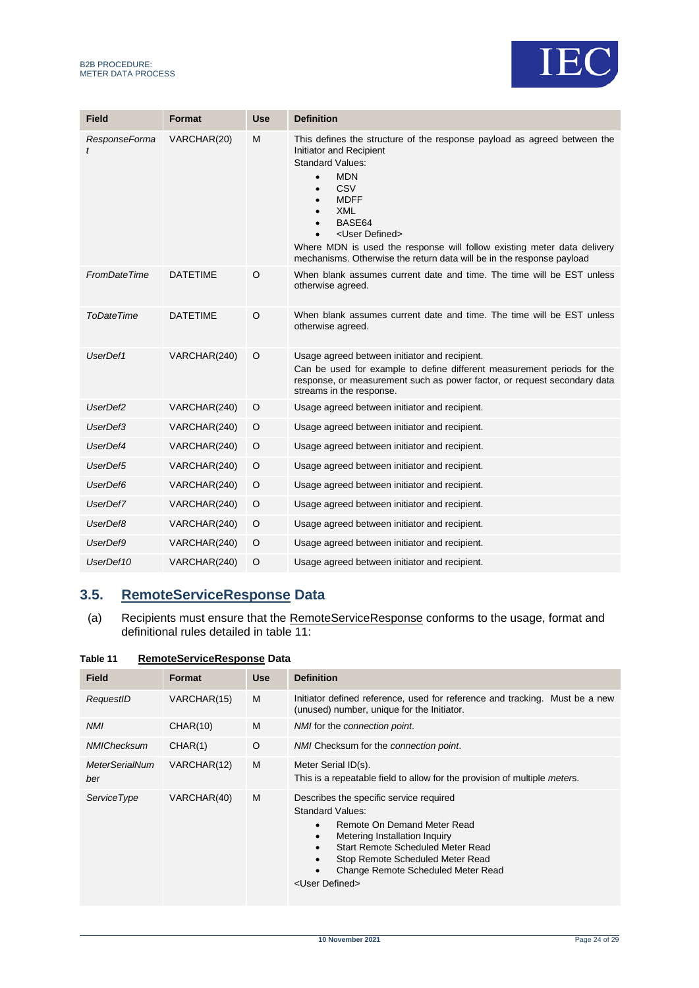

| <b>Field</b>         | Format          | <b>Use</b> | <b>Definition</b>                                                                                                                                                                                                                                                                                                                                                                   |
|----------------------|-----------------|------------|-------------------------------------------------------------------------------------------------------------------------------------------------------------------------------------------------------------------------------------------------------------------------------------------------------------------------------------------------------------------------------------|
| <b>ResponseForma</b> | VARCHAR(20)     | M          | This defines the structure of the response payload as agreed between the<br>Initiator and Recipient<br><b>Standard Values:</b><br><b>MDN</b><br><b>CSV</b><br><b>MDFF</b><br><b>XML</b><br>BASE64<br><user defined=""><br/>Where MDN is used the response will follow existing meter data delivery<br/>mechanisms. Otherwise the return data will be in the response payload</user> |
| <b>FromDateTime</b>  | <b>DATETIME</b> | $\circ$    | When blank assumes current date and time. The time will be EST unless<br>otherwise agreed.                                                                                                                                                                                                                                                                                          |
| <b>ToDateTime</b>    | <b>DATETIME</b> | $\circ$    | When blank assumes current date and time. The time will be EST unless<br>otherwise agreed.                                                                                                                                                                                                                                                                                          |
| UserDef1             | VARCHAR(240)    | $\circ$    | Usage agreed between initiator and recipient.<br>Can be used for example to define different measurement periods for the<br>response, or measurement such as power factor, or request secondary data<br>streams in the response.                                                                                                                                                    |
| UserDef <sub>2</sub> | VARCHAR(240)    | $\circ$    | Usage agreed between initiator and recipient.                                                                                                                                                                                                                                                                                                                                       |
| UserDef3             | VARCHAR(240)    | O          | Usage agreed between initiator and recipient.                                                                                                                                                                                                                                                                                                                                       |
| UserDef4             | VARCHAR(240)    | $\circ$    | Usage agreed between initiator and recipient.                                                                                                                                                                                                                                                                                                                                       |
| UserDef5             | VARCHAR(240)    | $\circ$    | Usage agreed between initiator and recipient.                                                                                                                                                                                                                                                                                                                                       |
| UserDef6             | VARCHAR(240)    | $\circ$    | Usage agreed between initiator and recipient.                                                                                                                                                                                                                                                                                                                                       |
| UserDef7             | VARCHAR(240)    | O          | Usage agreed between initiator and recipient.                                                                                                                                                                                                                                                                                                                                       |
| UserDef8             | VARCHAR(240)    | O          | Usage agreed between initiator and recipient.                                                                                                                                                                                                                                                                                                                                       |
| UserDef9             | VARCHAR(240)    | O          | Usage agreed between initiator and recipient.                                                                                                                                                                                                                                                                                                                                       |
| UserDef10            | VARCHAR(240)    | O          | Usage agreed between initiator and recipient.                                                                                                                                                                                                                                                                                                                                       |

# <span id="page-23-0"></span>**3.5. RemoteServiceResponse Data**

(a) Recipients must ensure that the RemoteServiceResponse conforms to the usage, format and definitional rules detailed in table 11:

| Field                        | Format      | <b>Use</b> | <b>Definition</b>                                                                                                                                                                                                                                                                                                                              |
|------------------------------|-------------|------------|------------------------------------------------------------------------------------------------------------------------------------------------------------------------------------------------------------------------------------------------------------------------------------------------------------------------------------------------|
| RequestID                    | VARCHAR(15) | M          | Initiator defined reference, used for reference and tracking. Must be a new<br>(unused) number, unique for the Initiator.                                                                                                                                                                                                                      |
| <b>NMI</b>                   | CHAR(10)    | M          | NMI for the connection point.                                                                                                                                                                                                                                                                                                                  |
| <b>NMIChecksum</b>           | CHAR(1)     | $\circ$    | <i>NMI</i> Checksum for the <i>connection point.</i>                                                                                                                                                                                                                                                                                           |
| <b>MeterSerialNum</b><br>ber | VARCHAR(12) | M          | Meter Serial ID(s).<br>This is a repeatable field to allow for the provision of multiple <i>meters</i> .                                                                                                                                                                                                                                       |
| ServiceType                  | VARCHAR(40) | M          | Describes the specific service required<br><b>Standard Values:</b><br>Remote On Demand Meter Read<br>$\bullet$<br>Metering Installation Inquiry<br>$\bullet$<br>Start Remote Scheduled Meter Read<br>$\bullet$<br>Stop Remote Scheduled Meter Read<br>$\bullet$<br>Change Remote Scheduled Meter Read<br>$\bullet$<br><user defined=""></user> |

<span id="page-23-1"></span>

| <b>RemoteServiceResponse Data</b><br>Table 11 |  |
|-----------------------------------------------|--|
|-----------------------------------------------|--|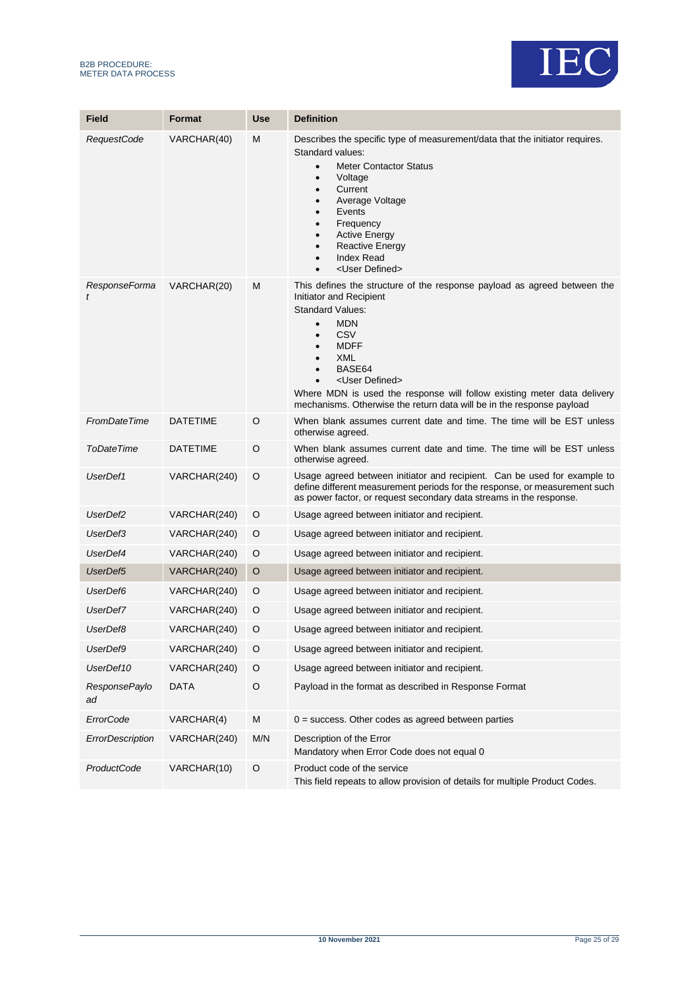

| <b>Field</b>              | Format          | <b>Use</b>  | <b>Definition</b>                                                                                                                                                                                                                                                                                                                                                                         |
|---------------------------|-----------------|-------------|-------------------------------------------------------------------------------------------------------------------------------------------------------------------------------------------------------------------------------------------------------------------------------------------------------------------------------------------------------------------------------------------|
| RequestCode               | VARCHAR(40)     | М           | Describes the specific type of measurement/data that the initiator requires.<br>Standard values:<br><b>Meter Contactor Status</b><br>$\bullet$<br>Voltage<br>$\bullet$<br>Current<br>Average Voltage<br>Events<br>Frequency<br><b>Active Energy</b><br>Reactive Energy<br><b>Index Read</b><br><user defined=""></user>                                                                   |
| <b>ResponseForma</b><br>t | VARCHAR(20)     | M           | This defines the structure of the response payload as agreed between the<br>Initiator and Recipient<br><b>Standard Values:</b><br><b>MDN</b><br>$\bullet$<br>CSV<br><b>MDFF</b><br><b>XML</b><br>BASE64<br><user defined=""><br/>Where MDN is used the response will follow existing meter data delivery<br/>mechanisms. Otherwise the return data will be in the response payload</user> |
| <b>FromDateTime</b>       | <b>DATETIME</b> | O           | When blank assumes current date and time. The time will be EST unless<br>otherwise agreed.                                                                                                                                                                                                                                                                                                |
| ToDateTime                | <b>DATETIME</b> | O           | When blank assumes current date and time. The time will be EST unless<br>otherwise agreed.                                                                                                                                                                                                                                                                                                |
| UserDef1                  | VARCHAR(240)    | O           | Usage agreed between initiator and recipient. Can be used for example to<br>define different measurement periods for the response, or measurement such<br>as power factor, or request secondary data streams in the response.                                                                                                                                                             |
| UserDef2                  | VARCHAR(240)    | O           | Usage agreed between initiator and recipient.                                                                                                                                                                                                                                                                                                                                             |
| UserDef3                  | VARCHAR(240)    | O           | Usage agreed between initiator and recipient.                                                                                                                                                                                                                                                                                                                                             |
| UserDef4                  | VARCHAR(240)    | O           | Usage agreed between initiator and recipient.                                                                                                                                                                                                                                                                                                                                             |
| UserDef5                  | VARCHAR(240)    | O           | Usage agreed between initiator and recipient.                                                                                                                                                                                                                                                                                                                                             |
| UserDef6                  | VARCHAR(240)    | O           | Usage agreed between initiator and recipient.                                                                                                                                                                                                                                                                                                                                             |
| UserDef7                  | VARCHAR(240)    | O           | Usage agreed between initiator and recipient.                                                                                                                                                                                                                                                                                                                                             |
| UserDef8                  | VARCHAR(240)    | O           | Usage agreed between initiator and recipient.                                                                                                                                                                                                                                                                                                                                             |
| UserDef9                  | VARCHAR(240)    | $\circ$     | Usage agreed between initiator and recipient.                                                                                                                                                                                                                                                                                                                                             |
| UserDef10                 | VARCHAR(240)    | $\circ$     | Usage agreed between initiator and recipient.                                                                                                                                                                                                                                                                                                                                             |
| ResponsePaylo<br>ad       | DATA            | O           | Payload in the format as described in Response Format                                                                                                                                                                                                                                                                                                                                     |
| ErrorCode                 | VARCHAR(4)      | M           | $0 =$ success. Other codes as agreed between parties                                                                                                                                                                                                                                                                                                                                      |
| ErrorDescription          | VARCHAR(240)    | M/N         | Description of the Error<br>Mandatory when Error Code does not equal 0                                                                                                                                                                                                                                                                                                                    |
| ProductCode               | VARCHAR(10)     | $\mathsf O$ | Product code of the service<br>This field repeats to allow provision of details for multiple Product Codes.                                                                                                                                                                                                                                                                               |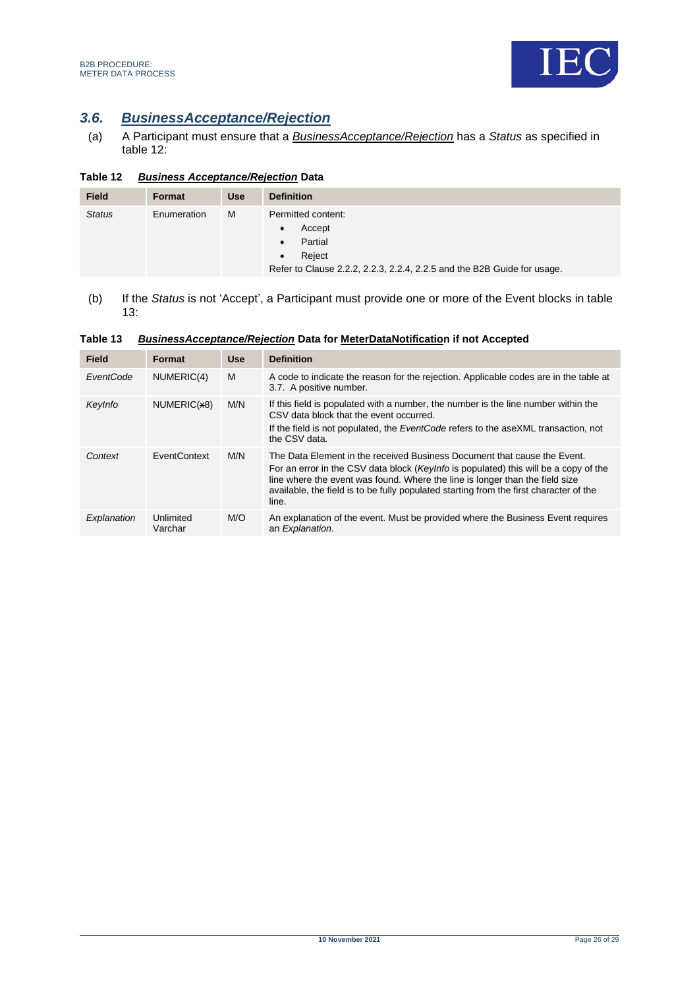

# <span id="page-25-0"></span>*3.6. BusinessAcceptance/Rejection*

(a) A Participant must ensure that a *BusinessAcceptance/Rejection* has a *Status* as specified in table 12:

| <b>Field</b>  | Format      | <b>Use</b> | <b>Definition</b>                                                                                                                                                   |
|---------------|-------------|------------|---------------------------------------------------------------------------------------------------------------------------------------------------------------------|
| <b>Status</b> | Enumeration | M          | Permitted content:<br>Accept<br>$\bullet$<br>Partial<br>$\bullet$<br>Reject<br>$\bullet$<br>Refer to Clause 2.2.2, 2.2.3, 2.2.4, 2.2.5 and the B2B Guide for usage. |

#### <span id="page-25-1"></span>**Table 12** *Business Acceptance/Rejection* **Data**

(b) If the *Status* is not 'Accept', a Participant must provide one or more of the Event blocks in table 13:

| <b>Field</b> | Format               | <b>Use</b> | <b>Definition</b>                                                                                                                                                                                                                                                                                                                                           |
|--------------|----------------------|------------|-------------------------------------------------------------------------------------------------------------------------------------------------------------------------------------------------------------------------------------------------------------------------------------------------------------------------------------------------------------|
| EventCode    | NUMERIC(4)           | M          | A code to indicate the reason for the rejection. Applicable codes are in the table at<br>3.7. A positive number.                                                                                                                                                                                                                                            |
| Keylnfo      | NUMERIC(x8)          | M/N        | If this field is populated with a number, the number is the line number within the<br>CSV data block that the event occurred.<br>If the field is not populated, the EventCode refers to the aseXML transaction, not<br>the CSV data.                                                                                                                        |
| Context      | EventContext         | M/N        | The Data Element in the received Business Document that cause the Event.<br>For an error in the CSV data block ( <i>Keylnfo</i> is populated) this will be a copy of the<br>line where the event was found. Where the line is longer than the field size<br>available, the field is to be fully populated starting from the first character of the<br>line. |
| Explanation  | Unlimited<br>Varchar | M/O        | An explanation of the event. Must be provided where the Business Event requires<br>an Explanation.                                                                                                                                                                                                                                                          |

#### <span id="page-25-2"></span>**Table 13** *BusinessAcceptance/Rejection* **Data for MeterDataNotification if not Accepted**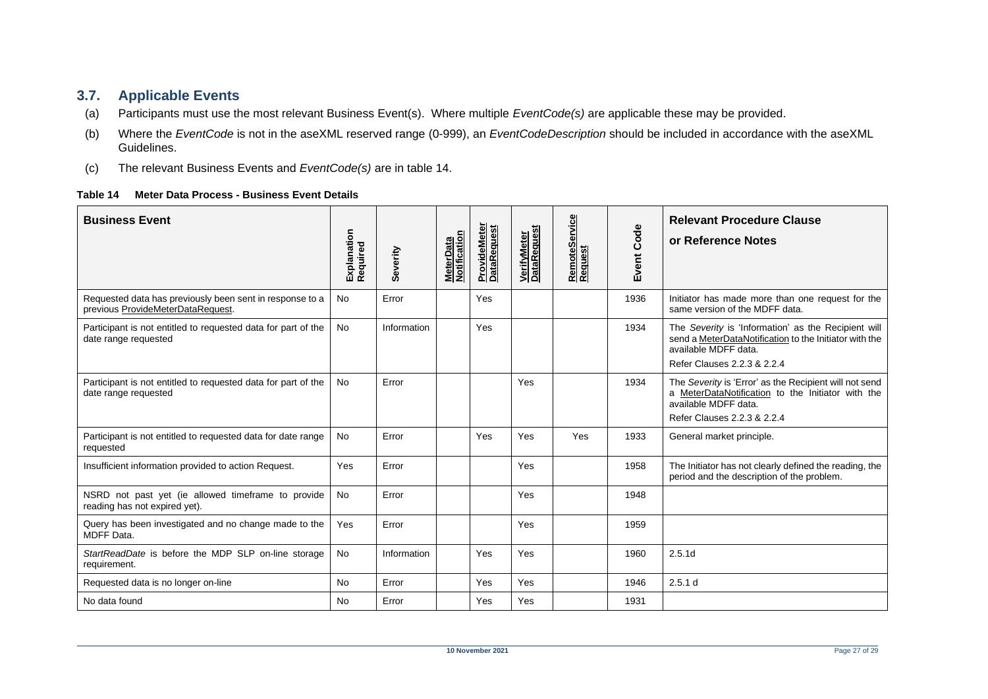## **3.7. Applicable Events**

- (a) Participants must use the most relevant Business Event(s). Where multiple *EventCode(s)* are applicable these may be provided.
- (b) Where the *EventCode* is not in the aseXML reserved range (0-999), an *EventCodeDescription* should be included in accordance with the aseXML Guidelines.
- (c) The relevant Business Events and *EventCode(s)* are in table 14.

#### **Table 14 Meter Data Process - Business Event Details**

<span id="page-26-1"></span><span id="page-26-0"></span>

| <b>Business Event</b>                                                                         | Explanation<br>Required | Severity    | <b>MeterData</b><br>Notification | <b>ProvideMeter</b><br>DataRequest | VerifyMeter<br>DataRequest | ervice<br>RemoteSe<br>Request | Event Code | <b>Relevant Procedure Clause</b><br>or Reference Notes                                                                                                               |
|-----------------------------------------------------------------------------------------------|-------------------------|-------------|----------------------------------|------------------------------------|----------------------------|-------------------------------|------------|----------------------------------------------------------------------------------------------------------------------------------------------------------------------|
| Requested data has previously been sent in response to a<br>previous ProvideMeterDataRequest. | <b>No</b>               | Error       |                                  | Yes                                |                            |                               | 1936       | Initiator has made more than one request for the<br>same version of the MDFF data.                                                                                   |
| Participant is not entitled to requested data for part of the<br>date range requested         | <b>No</b>               | Information |                                  | Yes                                |                            |                               | 1934       | The Severity is 'Information' as the Recipient will<br>send a MeterDataNotification to the Initiator with the<br>available MDFF data.<br>Refer Clauses 2.2.3 & 2.2.4 |
| Participant is not entitled to requested data for part of the<br>date range requested         | <b>No</b>               | Error       |                                  |                                    | Yes                        |                               | 1934       | The Severity is 'Error' as the Recipient will not send<br>a MeterDataNotification to the Initiator with the<br>available MDFF data.<br>Refer Clauses 2.2.3 & 2.2.4   |
| Participant is not entitled to requested data for date range<br>requested                     | <b>No</b>               | Error       |                                  | Yes                                | Yes                        | Yes                           | 1933       | General market principle.                                                                                                                                            |
| Insufficient information provided to action Request.                                          | Yes                     | Error       |                                  |                                    | Yes                        |                               | 1958       | The Initiator has not clearly defined the reading, the<br>period and the description of the problem.                                                                 |
| NSRD not past yet (ie allowed timeframe to provide<br>reading has not expired yet).           | <b>No</b>               | Error       |                                  |                                    | Yes                        |                               | 1948       |                                                                                                                                                                      |
| Query has been investigated and no change made to the<br><b>MDFF</b> Data.                    | Yes                     | Error       |                                  |                                    | Yes                        |                               | 1959       |                                                                                                                                                                      |
| StartReadDate is before the MDP SLP on-line storage<br>requirement.                           | <b>No</b>               | Information |                                  | Yes                                | Yes                        |                               | 1960       | 2.5.1d                                                                                                                                                               |
| Requested data is no longer on-line                                                           | <b>No</b>               | Error       |                                  | Yes                                | Yes                        |                               | 1946       | 2.5.1 <sub>d</sub>                                                                                                                                                   |
| No data found                                                                                 | <b>No</b>               | Error       |                                  | Yes                                | Yes                        |                               | 1931       |                                                                                                                                                                      |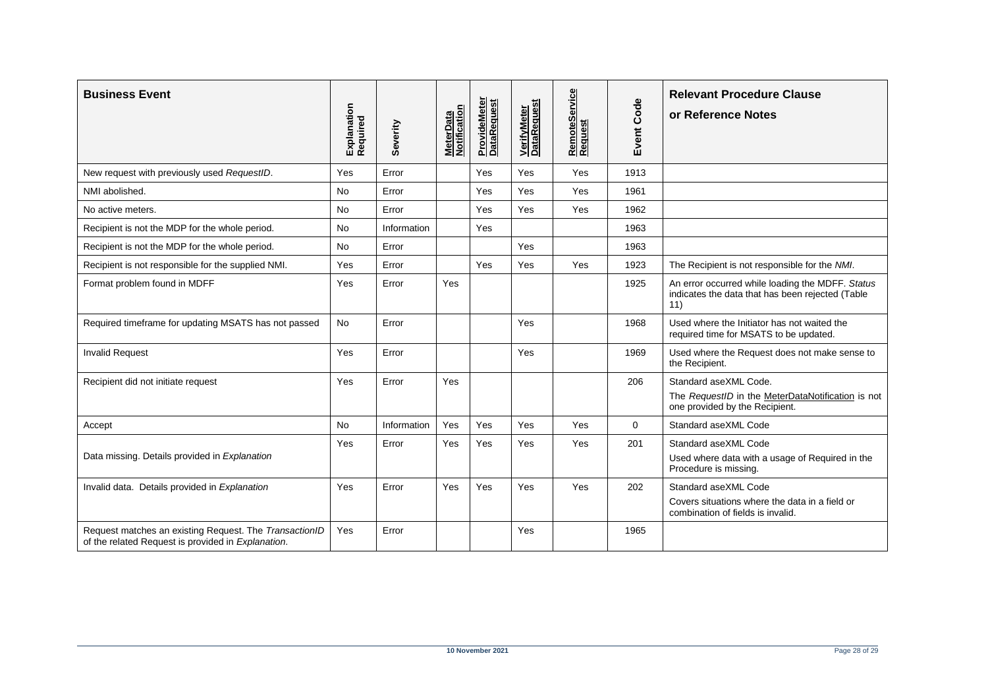| <b>Business Event</b>                                                                                        | Explanation<br>Required | Severity    | <b>MeterData</b><br>Notification | ProvideMeter<br>DataRequest | VerifyMeter<br>DataRequest | RemoteService<br>Request | Event Code  | <b>Relevant Procedure Clause</b><br>or Reference Notes                                                       |
|--------------------------------------------------------------------------------------------------------------|-------------------------|-------------|----------------------------------|-----------------------------|----------------------------|--------------------------|-------------|--------------------------------------------------------------------------------------------------------------|
| New request with previously used RequestID.                                                                  | Yes                     | Error       |                                  | Yes                         | Yes                        | Yes                      | 1913        |                                                                                                              |
| NMI abolished.                                                                                               | <b>No</b>               | Error       |                                  | Yes                         | Yes                        | Yes                      | 1961        |                                                                                                              |
| No active meters.                                                                                            | <b>No</b>               | Error       |                                  | Yes                         | Yes                        | Yes                      | 1962        |                                                                                                              |
| Recipient is not the MDP for the whole period.                                                               | <b>No</b>               | Information |                                  | Yes                         |                            |                          | 1963        |                                                                                                              |
| Recipient is not the MDP for the whole period.                                                               | <b>No</b>               | Error       |                                  |                             | Yes                        |                          | 1963        |                                                                                                              |
| Recipient is not responsible for the supplied NMI.                                                           | Yes                     | Error       |                                  | Yes                         | Yes                        | Yes                      | 1923        | The Recipient is not responsible for the NMI.                                                                |
| Format problem found in MDFF                                                                                 | Yes                     | Error       | Yes                              |                             |                            |                          | 1925        | An error occurred while loading the MDFF. Status<br>indicates the data that has been rejected (Table<br>11)  |
| Required timeframe for updating MSATS has not passed                                                         | <b>No</b>               | Error       |                                  |                             | Yes                        |                          | 1968        | Used where the Initiator has not waited the<br>required time for MSATS to be updated.                        |
| <b>Invalid Request</b>                                                                                       | Yes                     | Error       |                                  |                             | Yes                        |                          | 1969        | Used where the Request does not make sense to<br>the Recipient.                                              |
| Recipient did not initiate request                                                                           | Yes                     | Error       | Yes                              |                             |                            |                          | 206         | Standard aseXML Code.<br>The RequestID in the MeterDataNotification is not<br>one provided by the Recipient. |
| Accept                                                                                                       | <b>No</b>               | Information | Yes                              | Yes                         | Yes                        | Yes                      | $\mathbf 0$ | Standard aseXML Code                                                                                         |
| Data missing. Details provided in Explanation                                                                | Yes                     | Error       | Yes                              | Yes                         | <b>Yes</b>                 | Yes                      | 201         | Standard aseXML Code<br>Used where data with a usage of Required in the<br>Procedure is missing.             |
| Invalid data. Details provided in Explanation                                                                | Yes                     | Error       | Yes                              | Yes                         | Yes                        | Yes                      | 202         | Standard aseXML Code<br>Covers situations where the data in a field or<br>combination of fields is invalid.  |
| Request matches an existing Request. The TransactionID<br>of the related Request is provided in Explanation. | Yes                     | Error       |                                  |                             | Yes                        |                          | 1965        |                                                                                                              |